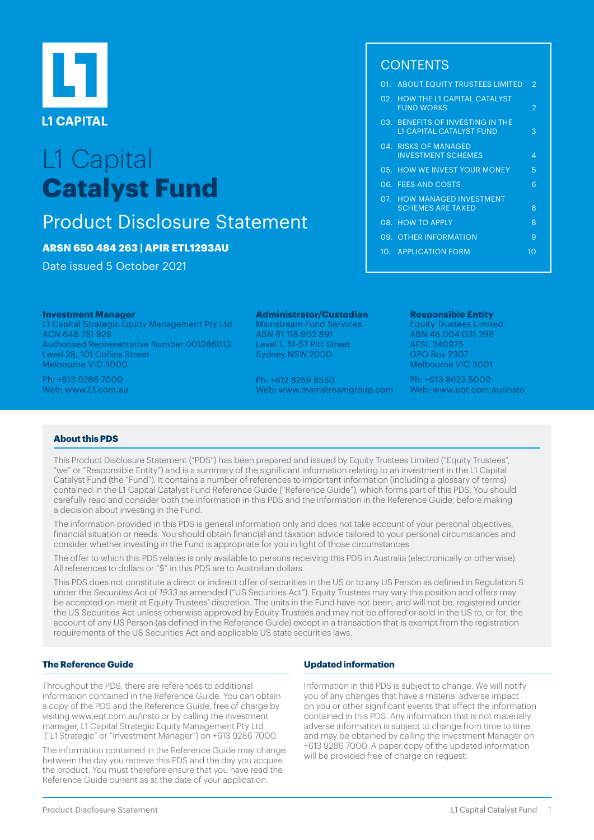

# L1 Capital **Catalyst Fund**

## Product Disclosure Statement

### **ARSN 650 484 263 | APIR ETL1293AU**

Date issued 5 October 2021

#### **Investment Manager**

L1 Capital Strategic Equity Management Pty Ltd ACN 648 751 928 Authorised Representative Number 001286013 Level 28, 101 Collins Street Melbourne VIC 3000

Ph: +613 9286 7000 Web: [www.L1.com.au](http://www.L1.com.au) 

#### **Administrator/Custodian**

Mainstream Fund Services ABN 81 118 902 891 Level 1, 51-57 Pitt Street Sydney NSW 2000

Ph: +612 8259 8550 Web: [www.mainstreamgroup.com](http://www.mainstreamgroup.com)

## **CONTENTS**

| 01. ABOUT EQUITY TRUSTEES LIMITED                                   | $\mathcal{P}$ |
|---------------------------------------------------------------------|---------------|
| 02. HOW THE L1 CAPITAL CATALYST<br><b>FUND WORKS</b>                | 2             |
| 03. BENEFITS OF INVESTING IN THE<br><b>L1 CAPITAL CATALYST FUND</b> | 3             |
| 04. RISKS OF MANAGED<br><b>INVESTMENT SCHEMES</b>                   | Δ             |
| 05. HOW WE INVEST YOUR MONEY                                        | 5             |
| 06. FEES AND COSTS                                                  | 6             |
| 07. HOW MANAGED INVESTMENT<br><b>SCHEMES ARE TAXED</b>              | 8             |
| 08. HOW TO APPLY                                                    | 8             |
| 09. OTHER INFORMATION                                               | 9             |
| 10. APPLICATION FORM                                                | 10            |
|                                                                     |               |

#### **Responsible Entity**  Equity Trustees Limited ABN 46 004 031 298

AFSL 240975 GPO Box 2307 Melbourne VIC 3001

Ph: +613 8623 5000 Web: [www.eqt.com.au/insto](http://www.eqt.com.au/insto) 

#### **About this PDS**

This Product Disclosure Statement ("PDS") has been prepared and issued by Equity Trustees Limited ("Equity Trustees", "we" or "Responsible Entity") and is a summary of the significant information relating to an investment in the L1 Capital Catalyst Fund (the "Fund"). It contains a number of references to important information (including a glossary of terms) contained in the L1 Capital Catalyst Fund Reference Guide ("Reference Guide"), which forms part of this PDS. You should carefully read and consider both the information in this PDS and the information in the Reference Guide, before making a decision about investing in the Fund.

The information provided in this PDS is general information only and does not take account of your personal objectives, financial situation or needs. You should obtain financial and taxation advice tailored to your personal circumstances and consider whether investing in the Fund is appropriate for you in light of those circumstances.

The offer to which this PDS relates is only available to persons receiving this PDS in Australia (electronically or otherwise). All references to dollars or "\$" in this PDS are to Australian dollars.

This PDS does not constitute a direct or indirect offer of securities in the US or to any US Person as defined in Regulation S under the Securities Act of 1933 as amended ("US Securities Act"). Equity Trustees may vary this position and offers may be accepted on merit at Equity Trustees' discretion. The units in the Fund have not been, and will not be, registered under the US Securities Act unless otherwise approved by Equity Trustees and may not be offered or sold in the US to, or for, the account of any US Person (as defined in the Reference Guide) except in a transaction that is exempt from the registration requirements of the US Securities Act and applicable US state securities laws.

#### **The Reference Guide**

Throughout the PDS, there are references to additional information contained in the Reference Guide. You can obtain a copy of the PDS and the Reference Guide, free of charge by visiting [www.eqt.com.au/insto](http://www.eqt.com.au/insto) or by calling the investment manager, L1 Capital Strategic Equity Management Pty Ltd ("L1 Strategic" or "Investment Manager") on +613 9286 7000.

The information contained in the Reference Guide may change between the day you receive this PDS and the day you acquire the product. You must therefore ensure that you have read the Reference Guide current as at the date of your application.

#### **Updated information**

Information in this PDS is subject to change. We will notify you of any changes that have a material adverse impact on you or other significant events that affect the information contained in this PDS. Any information that is not materially adverse information is subject to change from time to time and may be obtained by calling the Investment Manager on +613 9286 7000. A paper copy of the updated information will be provided free of charge on request.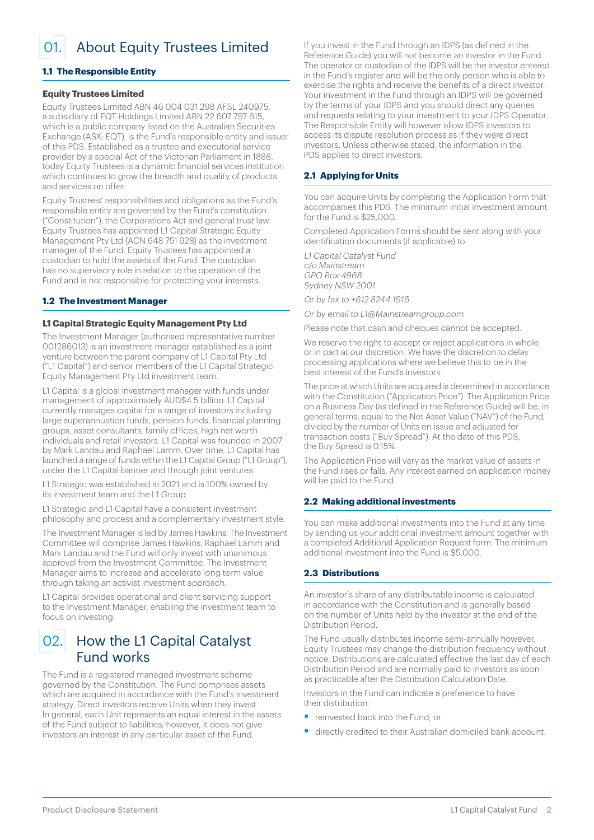<span id="page-1-0"></span>01. About Equity Trustees Limited

#### **1.1 The Responsible Entity**

#### **Equity Trustees Limited**

Equity Trustees Limited ABN 46 004 031 298 AFSL 240975, a subsidiary of EQT Holdings Limited ABN 22 607 797 615, which is a public company listed on the Australian Securities Exchange (ASX: EQT), is the Fund's responsible entity and issuer of this PDS. Established as a trustee and executorial service provider by a special Act of the Victorian Parliament in 1888, today Equity Trustees is a dynamic financial services institution which continues to grow the breadth and quality of products and services on offer.

Equity Trustees' responsibilities and obligations as the Fund's responsible entity are governed by the Fund's constitution ("Constitution"), the Corporations Act and general trust law. Equity Trustees has appointed L1 Capital Strategic Equity Management Pty Ltd (ACN 648 751 928) as the investment manager of the Fund. Equity Trustees has appointed a custodian to hold the assets of the Fund. The custodian has no supervisory role in relation to the operation of the Fund and is not responsible for protecting your interests.

#### **1.2 The Investment Manager**

#### **L1 Capital Strategic Equity Management Pty Ltd**

The Investment Manager (authorised representative number 001286013) is an investment manager established as a joint venture between the parent company of L1 Capital Pty Ltd ("L1 Capital") and senior members of the L1 Capital Strategic Equity Management Pty Ltd investment team.

L1 Capital is a global investment manager with funds under management of approximately AUD\$4.5 billion. L1 Capital currently manages capital for a range of investors including large superannuation funds, pension funds, financial planning groups, asset consultants, family offices, high net worth individuals and retail investors. L1 Capital was founded in 2007 by Mark Landau and Raphael Lamm. Over time, L1 Capital has launched a range of funds within the L1 Capital Group ("L1 Group"), under the L1 Capital banner and through joint ventures.

L1 Strategic was established in 2021 and is 100% owned by its investment team and the L1 Group.

L1 Strategic and L1 Capital have a consistent investment philosophy and process and a complementary investment style.

The Investment Manager is led by James Hawkins. The Investment Committee will comprise James Hawkins, Raphael Lamm and Mark Landau and the Fund will only invest with unanimous approval from the Investment Committee. The Investment Manager aims to increase and accelerate long term value through taking an activist investment approach.

L1 Capital provides operational and client servicing support to the Investment Manager, enabling the investment team to focus on investing.

## 02. How the L1 Capital Catalyst Fund works

The Fund is a registered managed investment scheme governed by the Constitution. The Fund comprises assets which are acquired in accordance with the Fund's investment strategy. Direct investors receive Units when they invest. In general, each Unit represents an equal interest in the assets of the Fund subject to liabilities; however, it does not give investors an interest in any particular asset of the Fund.

If you invest in the Fund through an IDPS (as defined in the Reference Guide) you will not become an investor in the Fund. The operator or custodian of the IDPS will be the investor entered in the Fund's register and will be the only person who is able to exercise the rights and receive the benefits of a direct investor. Your investment in the Fund through an IDPS will be governed by the terms of your IDPS and you should direct any queries and requests relating to your investment to your IDPS Operator. The Responsible Entity will however allow IDPS investors to access its dispute resolution process as if they were direct investors. Unless otherwise stated, the information in the PDS applies to direct investors.

#### **2.1 Applying for Units**

You can acquire Units by completing the Application Form that accompanies this PDS. The minimum initial investment amount for the Fund is \$25,000.

Completed Application Forms should be sent along with your identification documents (if applicable) to:

L1 Capital Catalyst Fund c/o Mainstream GPO Box 4968 Sydney NSW 2001

Or by fax to +612 8244 1916

Or by email to L1@Mainstreamgroup.com

Please note that cash and cheques cannot be accepted.

We reserve the right to accept or reject applications in whole or in part at our discretion. We have the discretion to delay processing applications where we believe this to be in the best interest of the Fund's investors.

The price at which Units are acquired is determined in accordance with the Constitution ("Application Price"). The Application Price on a Business Day (as defined in the Reference Guide) will be, in general terms, equal to the Net Asset Value ("NAV") of the Fund, divided by the number of Units on issue and adjusted for transaction costs ("Buy Spread"). At the date of this PDS, the Buy Spread is 0.15%.

The Application Price will vary as the market value of assets in the Fund rises or falls. Any interest earned on application money will be paid to the Fund.

#### **2.2 Making additional investments**

You can make additional investments into the Fund at any time by sending us your additional investment amount together with a completed Additional Application Request form. The minimum additional investment into the Fund is \$5,000.

#### **2.3 Distributions**

An investor's share of any distributable income is calculated in accordance with the Constitution and is generally based on the number of Units held by the investor at the end of the Distribution Period.

The Fund usually distributes income semi-annually however, Equity Trustees may change the distribution frequency without notice. Distributions are calculated effective the last day of each Distribution Period and are normally paid to investors as soon as practicable after the Distribution Calculation Date.

Investors in the Fund can indicate a preference to have their distribution:

- § reinvested back into the Fund; or
- directly credited to their Australian domiciled bank account.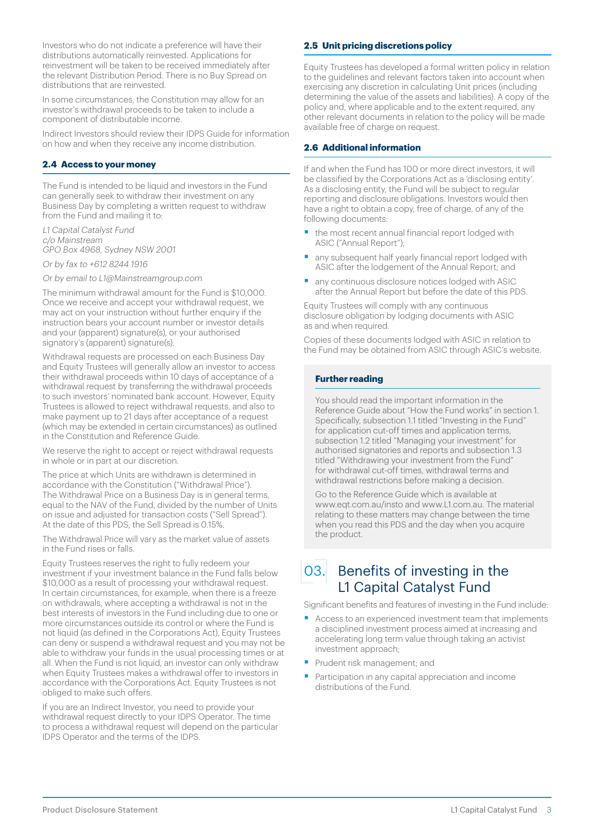<span id="page-2-0"></span>Investors who do not indicate a preference will have their distributions automatically reinvested. Applications for reinvestment will be taken to be received immediately after the relevant Distribution Period. There is no Buy Spread on distributions that are reinvested.

In some circumstances, the Constitution may allow for an investor's withdrawal proceeds to be taken to include a component of distributable income.

Indirect Investors should review their IDPS Guide for information on how and when they receive any income distribution.

#### **2.4 Access to your money**

The Fund is intended to be liquid and investors in the Fund can generally seek to withdraw their investment on any Business Day by completing a written request to withdraw from the Fund and mailing it to:

L1 Capital Catalyst Fund c/o Mainstream GPO Box 4968, Sydney NSW 2001

Or by fax to +612 8244 1916

Or by email to L1@Mainstreamgroup.com

The minimum withdrawal amount for the Fund is \$10,000. Once we receive and accept your withdrawal request, we may act on your instruction without further enquiry if the instruction bears your account number or investor details and your (apparent) signature(s), or your authorised signatory's (apparent) signature(s).

Withdrawal requests are processed on each Business Day and Equity Trustees will generally allow an investor to access their withdrawal proceeds within 10 days of acceptance of a withdrawal request by transferring the withdrawal proceeds to such investors' nominated bank account. However, Equity Trustees is allowed to reject withdrawal requests, and also to make payment up to 21 days after acceptance of a request (which may be extended in certain circumstances) as outlined in the Constitution and Reference Guide.

We reserve the right to accept or reject withdrawal requests in whole or in part at our discretion.

The price at which Units are withdrawn is determined in accordance with the Constitution ("Withdrawal Price"). The Withdrawal Price on a Business Day is in general terms, equal to the NAV of the Fund, divided by the number of Units on issue and adjusted for transaction costs ("Sell Spread"). At the date of this PDS, the Sell Spread is 0.15%.

The Withdrawal Price will vary as the market value of assets in the Fund rises or falls.

Equity Trustees reserves the right to fully redeem your investment if your investment balance in the Fund falls below \$10,000 as a result of processing your withdrawal request. In certain circumstances, for example, when there is a freeze on withdrawals, where accepting a withdrawal is not in the best interests of investors in the Fund including due to one or more circumstances outside its control or where the Fund is not liquid (as defined in the Corporations Act), Equity Trustees can deny or suspend a withdrawal request and you may not be able to withdraw your funds in the usual processing times or at all. When the Fund is not liquid, an investor can only withdraw when Equity Trustees makes a withdrawal offer to investors in accordance with the Corporations Act. Equity Trustees is not obliged to make such offers.

If you are an Indirect Investor, you need to provide your withdrawal request directly to your IDPS Operator. The time to process a withdrawal request will depend on the particular IDPS Operator and the terms of the IDPS.

#### **2.5 Unit pricing discretions policy**

Equity Trustees has developed a formal written policy in relation to the guidelines and relevant factors taken into account when exercising any discretion in calculating Unit prices (including determining the value of the assets and liabilities). A copy of the policy and, where applicable and to the extent required, any other relevant documents in relation to the policy will be made available free of charge on request.

#### **2.6 Additional information**

If and when the Fund has 100 or more direct investors, it will be classified by the Corporations Act as a 'disclosing entity'. As a disclosing entity, the Fund will be subject to regular reporting and disclosure obligations. Investors would then have a right to obtain a copy, free of charge, of any of the following documents:

- the most recent annual financial report lodged with ASIC ("Annual Report");
- any subsequent half yearly financial report lodged with ASIC after the lodgement of the Annual Report; and
- any continuous disclosure notices lodged with ASIC after the Annual Report but before the date of this PDS.

Equity Trustees will comply with any continuous disclosure obligation by lodging documents with ASIC as and when required.

Copies of these documents lodged with ASIC in relation to the Fund may be obtained from ASIC through ASIC's website.

#### **Further reading**

You should read the important information in the Reference Guide about "How the Fund works" in section 1. Specifically, subsection 1.1 titled "Investing in the Fund" for application cut-off times and application terms, subsection 1.2 titled "Managing your investment" for authorised signatories and reports and subsection 1.3 titled "Withdrawing your investment from the Fund" for withdrawal cut-off times, withdrawal terms and withdrawal restrictions before making a decision.

Go to the Reference Guide which is available at [www.eqt.com.au/insto](http://www.eqt.com.au/insto) and [www.L1.com.au.](http://www.L1.com.au) The material relating to these matters may change between the time when you read this PDS and the day when you acquire the product.

03. Benefits of investing in the L1 Capital Catalyst Fund

Significant benefits and features of investing in the Fund include:

- Access to an experienced investment team that implements a disciplined investment process aimed at increasing and accelerating long term value through taking an activist investment approach;
- **•** Prudent risk management; and
- Participation in any capital appreciation and income distributions of the Fund.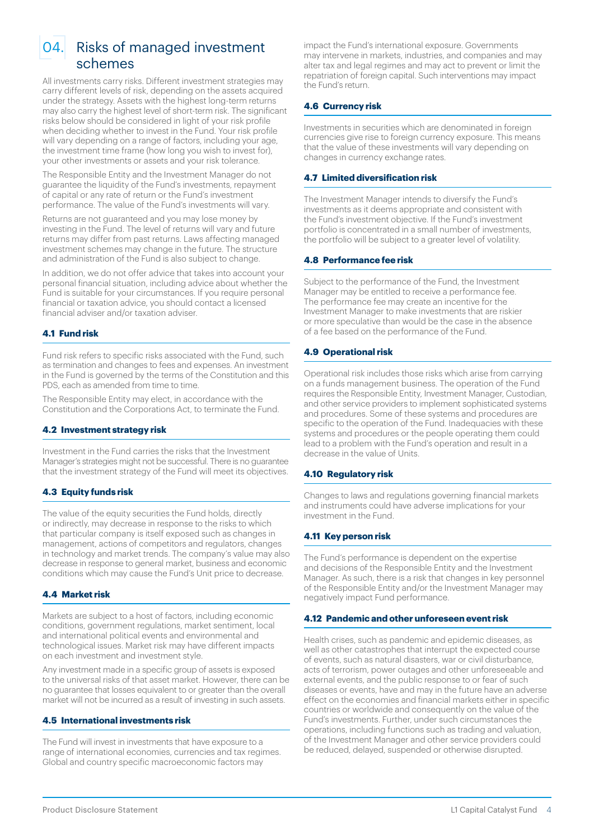<span id="page-3-0"></span>

## 04. Risks of managed investment schemes

All investments carry risks. Different investment strategies may carry different levels of risk, depending on the assets acquired under the strategy. Assets with the highest long-term returns may also carry the highest level of short-term risk. The significant risks below should be considered in light of your risk profile when deciding whether to invest in the Fund. Your risk profile will vary depending on a range of factors, including your age, the investment time frame (how long you wish to invest for), your other investments or assets and your risk tolerance.

The Responsible Entity and the Investment Manager do not guarantee the liquidity of the Fund's investments, repayment of capital or any rate of return or the Fund's investment performance. The value of the Fund's investments will vary.

Returns are not guaranteed and you may lose money by investing in the Fund. The level of returns will vary and future returns may differ from past returns. Laws affecting managed investment schemes may change in the future. The structure and administration of the Fund is also subject to change.

In addition, we do not offer advice that takes into account your personal financial situation, including advice about whether the Fund is suitable for your circumstances. If you require personal financial or taxation advice, you should contact a licensed financial adviser and/or taxation adviser.

#### **4.1 Fund risk**

Fund risk refers to specific risks associated with the Fund, such as termination and changes to fees and expenses. An investment in the Fund is governed by the terms of the Constitution and this PDS, each as amended from time to time.

The Responsible Entity may elect, in accordance with the Constitution and the Corporations Act, to terminate the Fund.

#### **4.2 Investment strategy risk**

Investment in the Fund carries the risks that the Investment Manager's strategies might not be successful. There is no guarantee that the investment strategy of the Fund will meet its objectives.

#### **4.3 Equity funds risk**

The value of the equity securities the Fund holds, directly or indirectly, may decrease in response to the risks to which that particular company is itself exposed such as changes in management, actions of competitors and regulators, changes in technology and market trends. The company's value may also decrease in response to general market, business and economic conditions which may cause the Fund's Unit price to decrease.

#### **4.4 Market risk**

Markets are subject to a host of factors, including economic conditions, government regulations, market sentiment, local and international political events and environmental and technological issues. Market risk may have different impacts on each investment and investment style.

Any investment made in a specific group of assets is exposed to the universal risks of that asset market. However, there can be no guarantee that losses equivalent to or greater than the overall market will not be incurred as a result of investing in such assets.

#### **4.5 International investments risk**

The Fund will invest in investments that have exposure to a range of international economies, currencies and tax regimes. Global and country specific macroeconomic factors may

impact the Fund's international exposure. Governments may intervene in markets, industries, and companies and may alter tax and legal regimes and may act to prevent or limit the repatriation of foreign capital. Such interventions may impact the Fund's return.

#### **4.6 Currency risk**

Investments in securities which are denominated in foreign currencies give rise to foreign currency exposure. This means that the value of these investments will vary depending on changes in currency exchange rates.

#### **4.7 Limited diversification risk**

The Investment Manager intends to diversify the Fund's investments as it deems appropriate and consistent with the Fund's investment objective. If the Fund's investment portfolio is concentrated in a small number of investments, the portfolio will be subject to a greater level of volatility.

#### **4.8 Performance fee risk**

Subject to the performance of the Fund, the Investment Manager may be entitled to receive a performance fee. The performance fee may create an incentive for the Investment Manager to make investments that are riskier or more speculative than would be the case in the absence of a fee based on the performance of the Fund.

#### **4.9 Operational risk**

Operational risk includes those risks which arise from carrying on a funds management business. The operation of the Fund requires the Responsible Entity, Investment Manager, Custodian, and other service providers to implement sophisticated systems and procedures. Some of these systems and procedures are specific to the operation of the Fund. Inadequacies with these systems and procedures or the people operating them could lead to a problem with the Fund's operation and result in a decrease in the value of Units.

#### **4.10 Regulatory risk**

Changes to laws and regulations governing financial markets and instruments could have adverse implications for your investment in the Fund.

#### **4.11 Key person risk**

The Fund's performance is dependent on the expertise and decisions of the Responsible Entity and the Investment Manager. As such, there is a risk that changes in key personnel of the Responsible Entity and/or the Investment Manager may negatively impact Fund performance.

#### **4.12 Pandemic and other unforeseen event risk**

Health crises, such as pandemic and epidemic diseases, as well as other catastrophes that interrupt the expected course of events, such as natural disasters, war or civil disturbance, acts of terrorism, power outages and other unforeseeable and external events, and the public response to or fear of such diseases or events, have and may in the future have an adverse effect on the economies and financial markets either in specific countries or worldwide and consequently on the value of the Fund's investments. Further, under such circumstances the operations, including functions such as trading and valuation, of the Investment Manager and other service providers could be reduced, delayed, suspended or otherwise disrupted.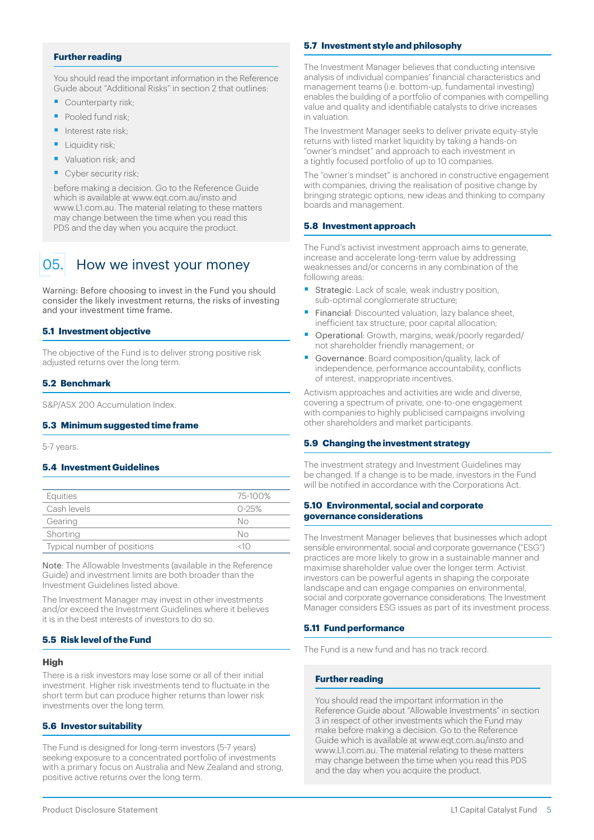#### <span id="page-4-0"></span>**Further reading**

You should read the important information in the Reference Guide about "Additional Risks" in section 2 that outlines:

- Counterparty risk;
- Pooled fund risk:
- Interest rate risk:
- Liquidity risk:
- Valuation risk; and
- Cyber security risk:

before making a decision. Go to the Reference Guide which is available at [www.eqt.com.au/insto](http://www.eqt.com.au/insto) and [www.L1.com.au](http://www.L1.com.au). The material relating to these matters may change between the time when you read this PDS and the day when you acquire the product.

## 05. How we invest your money

Warning: Before choosing to invest in the Fund you should consider the likely investment returns, the risks of investing and your investment time frame.

#### **5.1 Investment objective**

The objective of the Fund is to deliver strong positive risk adjusted returns over the long term.

#### **5.2 Benchmark**

S&P/ASX 200 Accumulation Index.

#### **5.3 Minimum suggested time frame**

5-7 years.

#### **5.4 Investment Guidelines**

| Equities                    | 75-100%   |
|-----------------------------|-----------|
| Cash levels                 | $0 - 25%$ |
| Gearing                     | Nο        |
| Shorting                    | Nο        |
| Typical number of positions | 41 L.Y    |
|                             |           |

Note: The Allowable Investments (available in the Reference Guide) and investment limits are both broader than the Investment Guidelines listed above.

The Investment Manager may invest in other investments and/or exceed the Investment Guidelines where it believes it is in the best interests of investors to do so.

#### **5.5 Risk level of the Fund**

#### **High**

There is a risk investors may lose some or all of their initial investment. Higher risk investments tend to fluctuate in the short term but can produce higher returns than lower risk investments over the long term.

#### **5.6 Investor suitability**

The Fund is designed for long-term investors (5-7 years) seeking exposure to a concentrated portfolio of investments with a primary focus on Australia and New Zealand and strong, positive active returns over the long term.

#### **5.7 Investment style and philosophy**

The Investment Manager believes that conducting intensive analysis of individual companies' financial characteristics and management teams (i.e. bottom-up, fundamental investing) enables the building of a portfolio of companies with compelling value and quality and identifiable catalysts to drive increases in valuation.

The Investment Manager seeks to deliver private equity-style returns with listed market liquidity by taking a hands-on "owner's mindset" and approach to each investment in a tightly focused portfolio of up to 10 companies.

The "owner's mindset" is anchored in constructive engagement with companies, driving the realisation of positive change by bringing strategic options, new ideas and thinking to company boards and management.

#### **5.8 Investment approach**

The Fund's activist investment approach aims to generate, increase and accelerate long-term value by addressing weaknesses and/or concerns in any combination of the following areas:

- § Strategic: Lack of scale, weak industry position, sub-optimal conglomerate structure;
- Financial: Discounted valuation, lazy balance sheet, inefficient tax structure, poor capital allocation;
- § Operational: Growth, margins, weak/poorly regarded/ not shareholder friendly management; or
- § Governance: Board composition/quality, lack of independence, performance accountability, conflicts of interest, inappropriate incentives.

Activism approaches and activities are wide and diverse, covering a spectrum of private, one-to-one engagement with companies to highly publicised campaigns involving other shareholders and market participants.

#### **5.9 Changing the investment strategy**

The investment strategy and Investment Guidelines may be changed. If a change is to be made, investors in the Fund will be notified in accordance with the Corporations Act.

#### **5.10 Environmental, social and corporate governance considerations**

The Investment Manager believes that businesses which adopt sensible environmental, social and corporate governance ("ESG") practices are more likely to grow in a sustainable manner and maximise shareholder value over the longer term. Activist investors can be powerful agents in shaping the corporate landscape and can engage companies on environmental, social and corporate governance considerations. The Investment Manager considers ESG issues as part of its investment process.

#### **5.11 Fund performance**

The Fund is a new fund and has no track record.

#### **Further reading**

You should read the important information in the Reference Guide about "Allowable Investments" in section 3 in respect of other investments which the Fund may make before making a decision. Go to the Reference Guide which is available at [www.eqt.com.au/insto](http://www.eqt.com.au/insto) and [www.L1.com.au.](http://www.L1.com.au) The material relating to these matters may change between the time when you read this PDS and the day when you acquire the product.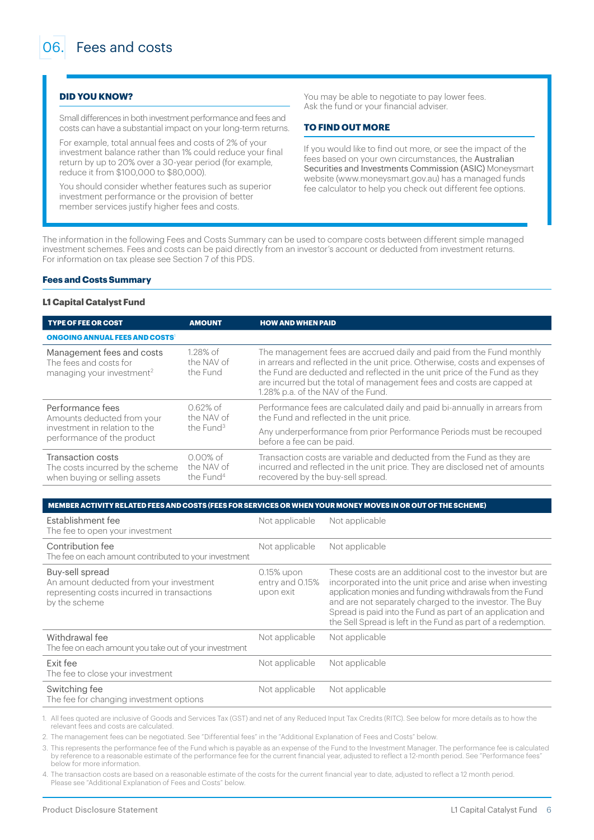#### <span id="page-5-0"></span>**DID YOU KNOW?**

Small differences in both investment performance and fees and costs can have a substantial impact on your long-term returns.

For example, total annual fees and costs of 2% of your investment balance rather than 1% could reduce your final return by up to 20% over a 30-year period (for example, reduce it from \$100,000 to \$80,000).

You should consider whether features such as superior investment performance or the provision of better member services justify higher fees and costs.

You may be able to negotiate to pay lower fees. Ask the fund or your financial adviser.

#### **TO FIND OUT MORE**

If you would like to find out more, or see the impact of the fees based on your own circumstances, the Australian Securities and Investments Commission (ASIC) Moneysmart website [\(www.moneysmart.gov.au\)](http://www.moneysmart.gov.au) has a managed funds fee calculator to help you check out different fee options.

The information in the following Fees and Costs Summary can be used to compare costs between different simple managed investment schemes. Fees and costs can be paid directly from an investor's account or deducted from investment returns. For information on tax please see Section 7 of this PDS.

#### **Fees and Costs Summary**

#### **L1 Capital Catalyst Fund**

| <b>TYPE OF FEE OR COST</b>                                                                   | <b>AMOUNT</b>                                      | <b>HOW AND WHEN PAID</b>                                                                                                                                                                                                                                                                                                                         |
|----------------------------------------------------------------------------------------------|----------------------------------------------------|--------------------------------------------------------------------------------------------------------------------------------------------------------------------------------------------------------------------------------------------------------------------------------------------------------------------------------------------------|
| <b>ONGOING ANNUAL FEES AND COSTS</b>                                                         |                                                    |                                                                                                                                                                                                                                                                                                                                                  |
| Management fees and costs<br>The fees and costs for<br>managing your investment <sup>2</sup> | 1.28% of<br>the NAV of<br>the Fund                 | The management fees are accrued daily and paid from the Fund monthly<br>in arrears and reflected in the unit price. Otherwise, costs and expenses of<br>the Fund are deducted and reflected in the unit price of the Fund as they<br>are incurred but the total of management fees and costs are capped at<br>1.28% p.a. of the NAV of the Fund. |
| Performance fees<br>Amounts deducted from your                                               | $0.62%$ of<br>the NAV of                           | Performance fees are calculated daily and paid bi-annually in arrears from<br>the Fund and reflected in the unit price.                                                                                                                                                                                                                          |
| investment in relation to the<br>performance of the product                                  | the Fund <sup>3</sup>                              | Any underperformance from prior Performance Periods must be recouped<br>before a fee can be paid.                                                                                                                                                                                                                                                |
| Transaction costs<br>The costs incurred by the scheme<br>when buying or selling assets       | $0.00\%$ of<br>the NAV of<br>the Fund <sup>4</sup> | Transaction costs are variable and deducted from the Fund as they are<br>incurred and reflected in the unit price. They are disclosed net of amounts<br>recovered by the buy-sell spread.                                                                                                                                                        |

#### **MEMBER ACTIVITY RELATED FEES AND COSTS (FEES FOR SERVICES OR WHEN YOUR MONEY MOVES IN OR OUT OF THE SCHEME)**

| Establishment fee<br>The fee to open your investment                                                                       | Not applicable                             | Not applicable                                                                                                                                                                                                                                                                                                                                                               |
|----------------------------------------------------------------------------------------------------------------------------|--------------------------------------------|------------------------------------------------------------------------------------------------------------------------------------------------------------------------------------------------------------------------------------------------------------------------------------------------------------------------------------------------------------------------------|
| Contribution fee<br>The fee on each amount contributed to your investment                                                  | Not applicable                             | Not applicable                                                                                                                                                                                                                                                                                                                                                               |
| Buy-sell spread<br>An amount deducted from your investment<br>representing costs incurred in transactions<br>by the scheme | 0.15% upon<br>entry and 0.15%<br>upon exit | These costs are an additional cost to the investor but are<br>incorporated into the unit price and arise when investing<br>application monies and funding withdrawals from the Fund<br>and are not separately charged to the investor. The Buy<br>Spread is paid into the Fund as part of an application and<br>the Sell Spread is left in the Fund as part of a redemption. |
| Withdrawal fee<br>The fee on each amount you take out of your investment                                                   | Not applicable                             | Not applicable                                                                                                                                                                                                                                                                                                                                                               |
| <b>Fxit fee</b><br>The fee to close your investment                                                                        | Not applicable                             | Not applicable                                                                                                                                                                                                                                                                                                                                                               |
| Switching fee<br>The fee for changing investment options                                                                   | Not applicable                             | Not applicable                                                                                                                                                                                                                                                                                                                                                               |

1. All fees quoted are inclusive of Goods and Services Tax (GST) and net of any Reduced Input Tax Credits (RITC). See below for more details as to how the relevant fees and costs are calculated.

2. The management fees can be negotiated. See "Differential fees" in the "Additional Explanation of Fees and Costs" below.

3. This represents the performance fee of the Fund which is payable as an expense of the Fund to the Investment Manager. The performance fee is calculated by reference to a reasonable estimate of the performance fee for the current financial year, adjusted to reflect a 12-month period. See "Performance fees" below for more information.

4. The transaction costs are based on a reasonable estimate of the costs for the current financial year to date, adjusted to reflect a 12 month period. Please see "Additional Explanation of Fees and Costs" below.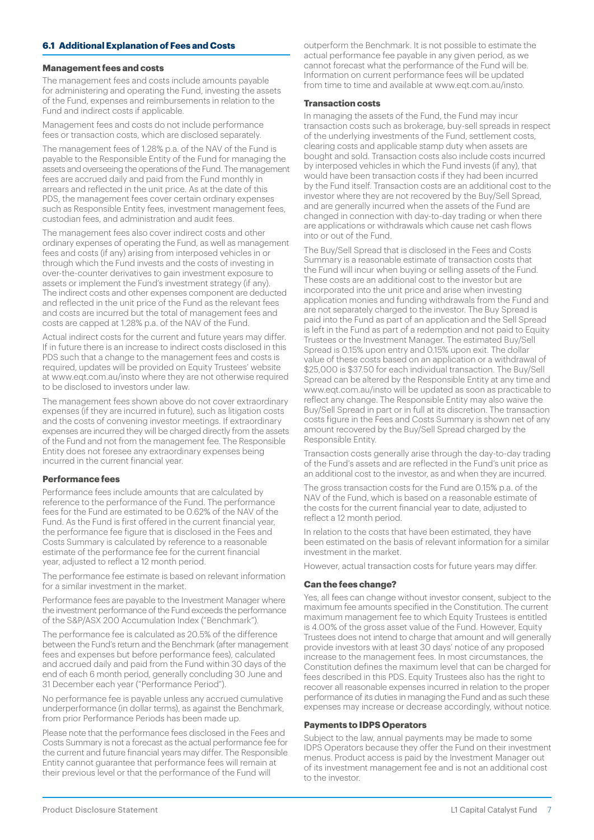#### **6.1 Additional Explanation of Fees and Costs**

#### **Management fees and costs**

The management fees and costs include amounts payable for administering and operating the Fund, investing the assets of the Fund, expenses and reimbursements in relation to the Fund and indirect costs if applicable.

Management fees and costs do not include performance fees or transaction costs, which are disclosed separately.

The management fees of 1.28% p.a. of the NAV of the Fund is payable to the Responsible Entity of the Fund for managing the assets and overseeing the operations of the Fund. The management fees are accrued daily and paid from the Fund monthly in arrears and reflected in the unit price. As at the date of this PDS, the management fees cover certain ordinary expenses such as Responsible Entity fees, investment management fees, custodian fees, and administration and audit fees.

The management fees also cover indirect costs and other ordinary expenses of operating the Fund, as well as management fees and costs (if any) arising from interposed vehicles in or through which the Fund invests and the costs of investing in over-the-counter derivatives to gain investment exposure to assets or implement the Fund's investment strategy (if any). The indirect costs and other expenses component are deducted and reflected in the unit price of the Fund as the relevant fees and costs are incurred but the total of management fees and costs are capped at 1.28% p.a. of the NAV of the Fund.

Actual indirect costs for the current and future years may differ. If in future there is an increase to indirect costs disclosed in this PDS such that a change to the management fees and costs is required, updates will be provided on Equity Trustees' website at [www.eqt.com.au/insto](http://www.eqt.com.au/insto) where they are not otherwise required to be disclosed to investors under law.

The management fees shown above do not cover extraordinary expenses (if they are incurred in future), such as litigation costs and the costs of convening investor meetings. If extraordinary expenses are incurred they will be charged directly from the assets of the Fund and not from the management fee. The Responsible Entity does not foresee any extraordinary expenses being incurred in the current financial year.

#### **Performance fees**

Performance fees include amounts that are calculated by reference to the performance of the Fund. The performance fees for the Fund are estimated to be 0.62% of the NAV of the Fund. As the Fund is first offered in the current financial year, the performance fee figure that is disclosed in the Fees and Costs Summary is calculated by reference to a reasonable estimate of the performance fee for the current financial year, adjusted to reflect a 12 month period.

The performance fee estimate is based on relevant information for a similar investment in the market.

Performance fees are payable to the Investment Manager where the investment performance of the Fund exceeds the performance of the S&P/ASX 200 Accumulation Index ("Benchmark").

The performance fee is calculated as 20.5% of the difference between the Fund's return and the Benchmark (after management fees and expenses but before performance fees), calculated and accrued daily and paid from the Fund within 30 days of the end of each 6 month period, generally concluding 30 June and 31 December each year ("Performance Period").

No performance fee is payable unless any accrued cumulative underperformance (in dollar terms), as against the Benchmark, from prior Performance Periods has been made up.

Please note that the performance fees disclosed in the Fees and Costs Summary is not a forecast as the actual performance fee for the current and future financial years may differ. The Responsible Entity cannot guarantee that performance fees will remain at their previous level or that the performance of the Fund will

outperform the Benchmark. It is not possible to estimate the actual performance fee payable in any given period, as we cannot forecast what the performance of the Fund will be. Information on current performance fees will be updated from time to time and available at [www.eqt.com.au/insto.](http://www.eqt.com.au/insto)

#### **Transaction costs**

In managing the assets of the Fund, the Fund may incur transaction costs such as brokerage, buy-sell spreads in respect of the underlying investments of the Fund, settlement costs, clearing costs and applicable stamp duty when assets are bought and sold. Transaction costs also include costs incurred by interposed vehicles in which the Fund invests (if any), that would have been transaction costs if they had been incurred by the Fund itself. Transaction costs are an additional cost to the investor where they are not recovered by the Buy/Sell Spread, and are generally incurred when the assets of the Fund are changed in connection with day-to-day trading or when there are applications or withdrawals which cause net cash flows into or out of the Fund.

The Buy/Sell Spread that is disclosed in the Fees and Costs Summary is a reasonable estimate of transaction costs that the Fund will incur when buying or selling assets of the Fund. These costs are an additional cost to the investor but are incorporated into the unit price and arise when investing application monies and funding withdrawals from the Fund and are not separately charged to the investor. The Buy Spread is paid into the Fund as part of an application and the Sell Spread is left in the Fund as part of a redemption and not paid to Equity Trustees or the Investment Manager. The estimated Buy/Sell Spread is 0.15% upon entry and 0.15% upon exit. The dollar value of these costs based on an application or a withdrawal of \$25,000 is \$37.50 for each individual transaction. The Buy/Sell Spread can be altered by the Responsible Entity at any time and [www.eqt.com.au/insto](http://www.eqt.com.au/insto) will be updated as soon as practicable to reflect any change. The Responsible Entity may also waive the Buy/Sell Spread in part or in full at its discretion. The transaction costs figure in the Fees and Costs Summary is shown net of any amount recovered by the Buy/Sell Spread charged by the Responsible Entity.

Transaction costs generally arise through the day-to-day trading of the Fund's assets and are reflected in the Fund's unit price as an additional cost to the investor, as and when they are incurred.

The gross transaction costs for the Fund are 0.15% p.a. of the NAV of the Fund, which is based on a reasonable estimate of the costs for the current financial year to date, adjusted to reflect a 12 month period.

In relation to the costs that have been estimated, they have been estimated on the basis of relevant information for a similar investment in the market.

However, actual transaction costs for future years may differ.

#### **Can the fees change?**

Yes, all fees can change without investor consent, subject to the maximum fee amounts specified in the Constitution. The current maximum management fee to which Equity Trustees is entitled is 4.00% of the gross asset value of the Fund. However, Equity Trustees does not intend to charge that amount and will generally provide investors with at least 30 days' notice of any proposed increase to the management fees. In most circumstances, the Constitution defines the maximum level that can be charged for fees described in this PDS. Equity Trustees also has the right to recover all reasonable expenses incurred in relation to the proper performance of its duties in managing the Fund and as such these expenses may increase or decrease accordingly, without notice.

#### **Payments to IDPS Operators**

Subject to the law, annual payments may be made to some IDPS Operators because they offer the Fund on their investment menus. Product access is paid by the Investment Manager out of its investment management fee and is not an additional cost to the investor.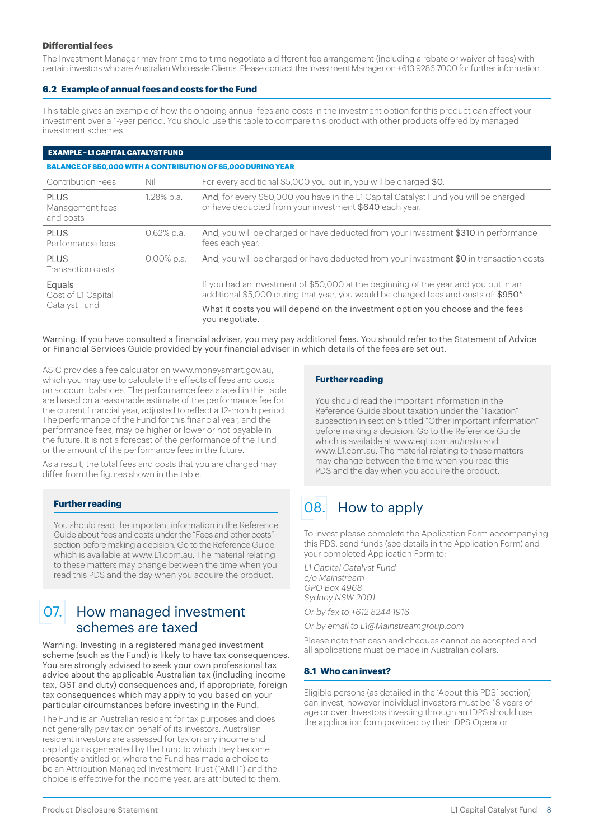#### <span id="page-7-0"></span>**Differential fees**

The Investment Manager may from time to time negotiate a different fee arrangement (including a rebate or waiver of fees) with certain investors who are Australian Wholesale Clients. Please contact the Investment Manager on +613 9286 7000 for further information.

#### **6.2 Example of annual fees and costs for the Fund**

This table gives an example of how the ongoing annual fees and costs in the investment option for this product can affect your investment over a 1-year period. You should use this table to compare this product with other products offered by managed investment schemes.

#### **EXAMPLE – L1 CAPITAL CATALYST FUND**

**BALANCE OF \$50,000 WITH A CONTRIBUTION OF \$5,000 DURING YEAR** Contribution Fees Nil For every additional \$5,000 you put in, you will be charged \$0. PLUS Management fees and costs 1.28% p.a. And, for every \$50,000 you have in the L1 Capital Catalyst Fund you will be charged or have deducted from your investment \$640 each year. PLUS Performance fees 0.62% p.a. And, you will be charged or have deducted from your investment \$310 in performance fees each year. PLUS. Transaction costs 0.00% p.a. And, you will be charged or have deducted from your investment \$0 in transaction costs. Equals Cost of L1 Capital Catalyst Fund If you had an investment of \$50,000 at the beginning of the year and you put in an additional \$5,000 during that year, you would be charged fees and costs of: \$950\*. What it costs you will depend on the investment option you choose and the fees you negotiate.

Warning: If you have consulted a financial adviser, you may pay additional fees. You should refer to the Statement of Advice or Financial Services Guide provided by your financial adviser in which details of the fees are set out.

ASIC provides a fee calculator on [www.moneysmart.gov.au](http://www.moneysmart.gov.au), which you may use to calculate the effects of fees and costs on account balances. The performance fees stated in this table are based on a reasonable estimate of the performance fee for the current financial year, adjusted to reflect a 12-month period. The performance of the Fund for this financial year, and the performance fees, may be higher or lower or not payable in the future. It is not a forecast of the performance of the Fund or the amount of the performance fees in the future.

As a result, the total fees and costs that you are charged may differ from the figures shown in the table.

#### **Further reading**

You should read the important information in the Reference Guide about fees and costs under the "Fees and other costs" section before making a decision. Go to the Reference Guide which is available at [www.L1.com.au](http://www.L1.com.au). The material relating to these matters may change between the time when you read this PDS and the day when you acquire the product.

## 07. How managed investment schemes are taxed

Warning: Investing in a registered managed investment scheme (such as the Fund) is likely to have tax consequences. You are strongly advised to seek your own professional tax advice about the applicable Australian tax (including income tax, GST and duty) consequences and, if appropriate, foreign tax consequences which may apply to you based on your particular circumstances before investing in the Fund.

The Fund is an Australian resident for tax purposes and does not generally pay tax on behalf of its investors. Australian resident investors are assessed for tax on any income and capital gains generated by the Fund to which they become presently entitled or, where the Fund has made a choice to be an Attribution Managed Investment Trust ("AMIT") and the choice is effective for the income year, are attributed to them.

#### **Further reading**

You should read the important information in the Reference Guide about taxation under the "Taxation" subsection in section 5 titled "Other important information" before making a decision. Go to the Reference Guide which is available at [www.eqt.com.au/insto](http://www.eqt.com.au/insto) and [www.L1.com.au.](http://www.L1.com.au) The material relating to these matters may change between the time when you read this PDS and the day when you acquire the product.

## 08. How to apply

To invest please complete the Application Form accompanying this PDS, send funds (see details in the Application Form) and your completed Application Form to:

L1 Capital Catalyst Fund c/o Mainstream GPO Box 4968 Sydney NSW 2001

Or by fax to +612 8244 1916

Or by email to L1@Mainstreamgroup.com

Please note that cash and cheques cannot be accepted and all applications must be made in Australian dollars.

#### **8.1 Who can invest?**

Eligible persons (as detailed in the 'About this PDS' section) can invest, however individual investors must be 18 years of age or over. Investors investing through an IDPS should use the application form provided by their IDPS Operator.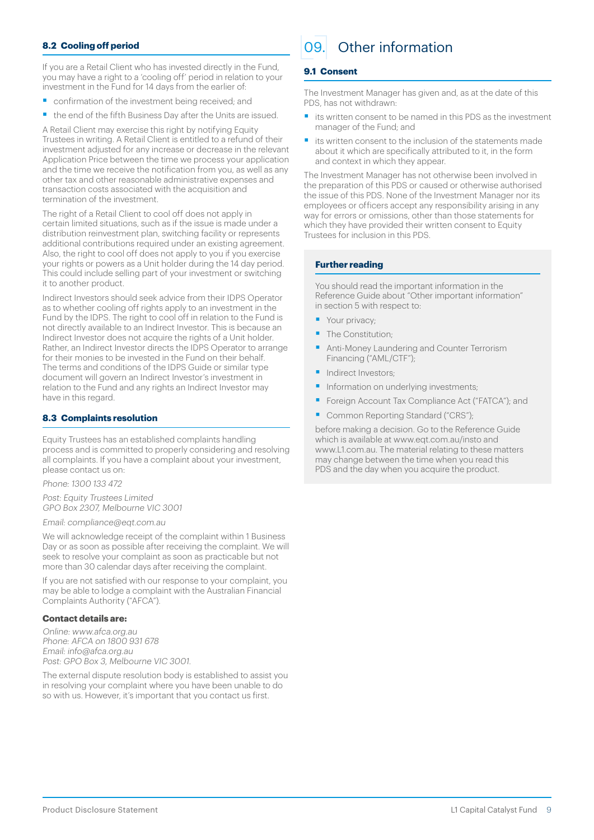#### <span id="page-8-0"></span>**8.2 Cooling off period**

If you are a Retail Client who has invested directly in the Fund, you may have a right to a 'cooling off' period in relation to your investment in the Fund for 14 days from the earlier of:

- § confirmation of the investment being received; and
- the end of the fifth Business Day after the Units are issued.

A Retail Client may exercise this right by notifying Equity Trustees in writing. A Retail Client is entitled to a refund of their investment adjusted for any increase or decrease in the relevant Application Price between the time we process your application and the time we receive the notification from you, as well as any other tax and other reasonable administrative expenses and transaction costs associated with the acquisition and termination of the investment.

The right of a Retail Client to cool off does not apply in certain limited situations, such as if the issue is made under a distribution reinvestment plan, switching facility or represents additional contributions required under an existing agreement. Also, the right to cool off does not apply to you if you exercise your rights or powers as a Unit holder during the 14 day period. This could include selling part of your investment or switching it to another product.

Indirect Investors should seek advice from their IDPS Operator as to whether cooling off rights apply to an investment in the Fund by the IDPS. The right to cool off in relation to the Fund is not directly available to an Indirect Investor. This is because an Indirect Investor does not acquire the rights of a Unit holder. Rather, an Indirect Investor directs the IDPS Operator to arrange for their monies to be invested in the Fund on their behalf. The terms and conditions of the IDPS Guide or similar type document will govern an Indirect Investor's investment in relation to the Fund and any rights an Indirect Investor may have in this regard.

#### **8.3 Complaints resolution**

Equity Trustees has an established complaints handling process and is committed to properly considering and resolving all complaints. If you have a complaint about your investment, please contact us on:

Phone: 1300 133 472

Post: Equity Trustees Limited GPO Box 2307, Melbourne VIC 3001

Email: compliance@eqt.com.au

We will acknowledge receipt of the complaint within 1 Business Day or as soon as possible after receiving the complaint. We will seek to resolve your complaint as soon as practicable but not more than 30 calendar days after receiving the complaint.

If you are not satisfied with our response to your complaint, you may be able to lodge a complaint with the Australian Financial Complaints Authority ("AFCA").

#### **Contact details are:**

Online: [www.afca.org.au](http://www.afca.org.au) Phone: AFCA on 1800 931 678 Email: info@afca.org.au Post: GPO Box 3, Melbourne VIC 3001.

The external dispute resolution body is established to assist you in resolving your complaint where you have been unable to do so with us. However, it's important that you contact us first.

## 09. Other information

#### **9.1 Consent**

The Investment Manager has given and, as at the date of this PDS, has not withdrawn:

- its written consent to be named in this PDS as the investment manager of the Fund; and
- its written consent to the inclusion of the statements made about it which are specifically attributed to it, in the form and context in which they appear.

The Investment Manager has not otherwise been involved in the preparation of this PDS or caused or otherwise authorised the issue of this PDS. None of the Investment Manager nor its employees or officers accept any responsibility arising in any way for errors or omissions, other than those statements for which they have provided their written consent to Equity Trustees for inclusion in this PDS.

#### **Further reading**

You should read the important information in the Reference Guide about "Other important information" in section 5 with respect to:

- Your privacy;
- The Constitution;
- Anti-Money Laundering and Counter Terrorism Financing ("AML/CTF");
- § Indirect Investors;
- Information on underlying investments;
- § Foreign Account Tax Compliance Act ("FATCA"); and
- Common Reporting Standard ("CRS");

before making a decision. Go to the Reference Guide which is available at [www.eqt.com.au/insto](http://www.eqt.com.au/insto) and [www.L1.com.au.](http://www.L1.com.au) The material relating to these matters may change between the time when you read this PDS and the day when you acquire the product.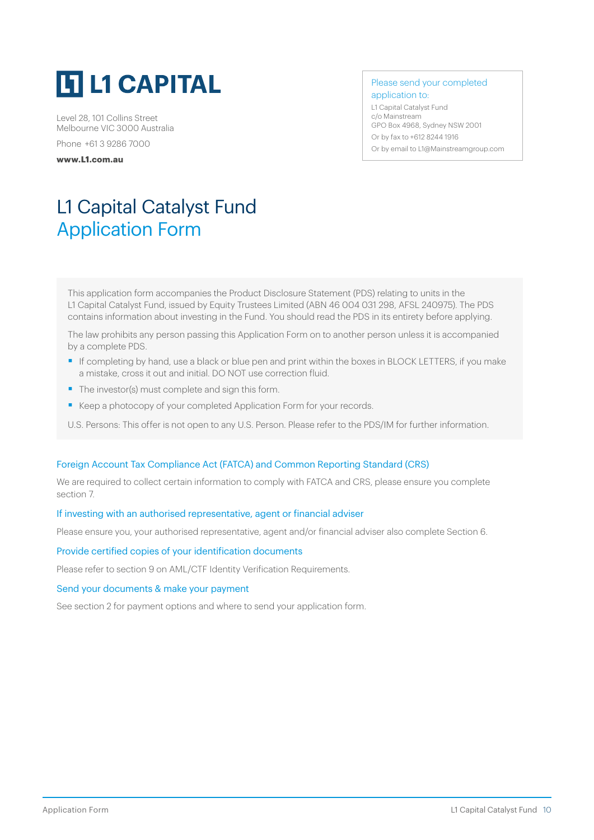<span id="page-9-0"></span>

Level 28, 101 Collins Street Melbourne VIC 3000 Australia Phone +61 3 9286 7000

**[www.L1.com.au](http://)**

Please send your completed application to:

L1 Capital Catalyst Fund c/o Mainstream GPO Box 4968, Sydney NSW 2001 Or by fax to +612 8244 1916 Or by email t[o L1@Mainstreamgroup.com](mailto:?subject=)

## L1 Capital Catalyst Fund Application Form

This application form accompanies the Product Disclosure Statement (PDS) relating to units in the L1 Capital Catalyst Fund, issued by Equity Trustees Limited (ABN 46 004 031 298, AFSL 240975). The PDS contains information about investing in the Fund. You should read the PDS in its entirety before applying.

The law prohibits any person passing this Application Form on to another person unless it is accompanied by a complete PDS.

- If completing by hand, use a black or blue pen and print within the boxes in BLOCK LETTERS, if you make a mistake, cross it out and initial. DO NOT use correction fluid.
- The investor(s) must complete and sign this form.
- Keep a photocopy of your completed Application Form for your records.
- U.S. Persons: This offer is not open to any U.S. Person. Please refer to the PDS/IM for further information.

#### Foreign Account Tax Compliance Act (FATCA) and Common Reporting Standard (CRS)

We are required to collect certain information to comply with FATCA and CRS, please ensure you complete section 7.

#### If investing with an authorised representative, agent or financial adviser

Please ensure you, your authorised representative, agent and/or financial adviser also complete Section 6.

#### Provide certified copies of your identification documents

Please refer to section 9 on AML/CTF Identity Verification Requirements.

#### Send your documents & make your payment

See section 2 for payment options and where to send your application form.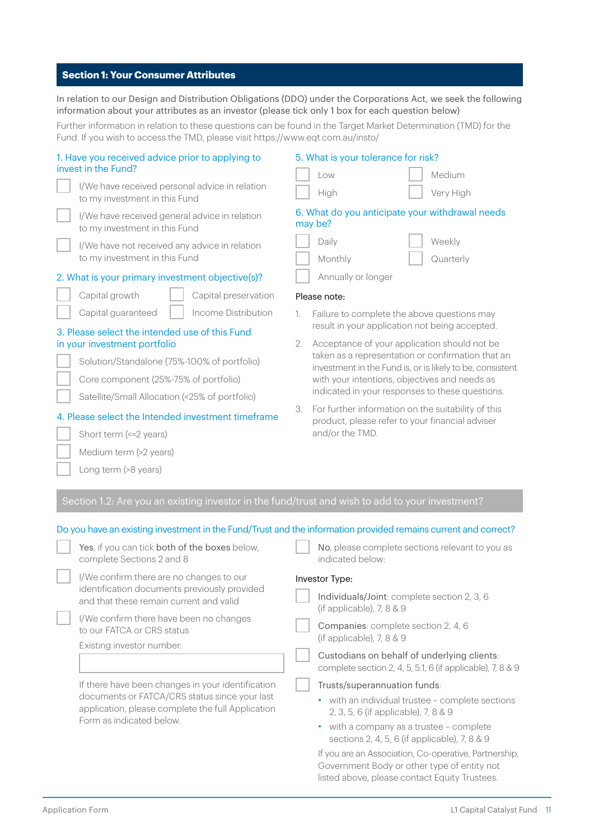#### **Section 1: Your Consumer Attributes**

In relation to our Design and Distribution Obligations (DDO) under the Corporations Act, we seek the following information about your attributes as an investor (please tick only 1 box for each question below)

Further information in relation to these questions can be found in the Target Market Determination (TMD) for the Fund. If you wish to access the TMD, please visi[t https://www.eqt.com.au/insto/](mailto:https://www.eqt.com.au/insto/?subject=)

| 1. Have you received advice prior to applying to<br>invest in the Fund?                                                                                                                      | 5. What is your tolerance for risk?<br>Low<br>Medium                                                        |
|----------------------------------------------------------------------------------------------------------------------------------------------------------------------------------------------|-------------------------------------------------------------------------------------------------------------|
| I/We have received personal advice in relation<br>to my investment in this Fund                                                                                                              | Very High<br>High                                                                                           |
| I/We have received general advice in relation<br>to my investment in this Fund                                                                                                               | 6. What do you anticipate your withdrawal needs<br>may be?                                                  |
| I/We have not received any advice in relation<br>to my investment in this Fund                                                                                                               | Daily<br>Weekly<br>Monthly<br>Quarterly                                                                     |
| 2. What is your primary investment objective(s)?                                                                                                                                             | Annually or longer                                                                                          |
| Capital growth<br>Capital preservation                                                                                                                                                       | Please note:                                                                                                |
| Capital guaranteed<br>Income Distribution                                                                                                                                                    | Failure to complete the above questions may<br>1.                                                           |
| 3. Please select the intended use of this Fund<br>in your investment portfolio                                                                                                               | result in your application not being accepted.<br>2.                                                        |
| Solution/Standalone (75%-100% of portfolio)                                                                                                                                                  | Acceptance of your application should not be<br>taken as a representation or confirmation that an           |
| Core component (25%-75% of portfolio)                                                                                                                                                        | investment in the Fund is, or is likely to be, consistent<br>with your intentions, objectives and needs as  |
| Satellite/Small Allocation (<25% of portfolio)                                                                                                                                               | indicated in your responses to these questions.                                                             |
| 4. Please select the Intended investment timeframe                                                                                                                                           | For further information on the suitability of this<br>3.<br>product, please refer to your financial adviser |
| Short term (<= 2 years)                                                                                                                                                                      | and/or the TMD.                                                                                             |
| Medium term (>2 years)                                                                                                                                                                       |                                                                                                             |
| Long term (>8 years)                                                                                                                                                                         |                                                                                                             |
|                                                                                                                                                                                              |                                                                                                             |
| Section 1.2: Are you an existing investor in the fund/trust and wish to add to your investment?                                                                                              |                                                                                                             |
|                                                                                                                                                                                              |                                                                                                             |
| Do you have an existing investment in the Fund/Trust and the information provided remains current and correct?<br>Yes, if you can tick both of the boxes below,<br>complete Sections 2 and 8 | No, please complete sections relevant to you as<br>indicated below:                                         |
| I/We confirm there are no changes to our                                                                                                                                                     |                                                                                                             |
| identification documents previously provided<br>and that these remain current and valid                                                                                                      | Investor Type:<br>Individuals/Joint: complete section 2, 3, 6                                               |
| I/We confirm there have been no changes<br>to our FATCA or CRS status                                                                                                                        | (if applicable), $7, 8 & 9$<br>Companies: complete section 2, 4, 6                                          |
| Existing investor number:                                                                                                                                                                    | (if applicable), 7, 8 & 9                                                                                   |
|                                                                                                                                                                                              | Custodians on behalf of underlying clients:<br>complete section 2, 4, 5, 5.1, 6 (if applicable), 7, 8 & 9   |
| If there have been changes in your identification                                                                                                                                            | Trusts/superannuation funds:                                                                                |
| documents or FATCA/CRS status since your last<br>application, please complete the full Application                                                                                           | • with an individual trustee - complete sections<br>2, 3, 5, 6 (if applicable), 7, 8 & 9                    |
| Form as indicated below.                                                                                                                                                                     | • with a company as a trustee - complete<br>sections 2, 4, 5, 6 (if applicable), 7, 8 & 9                   |

Government Body or other type of entity not listed above, please contact Equity Trustees.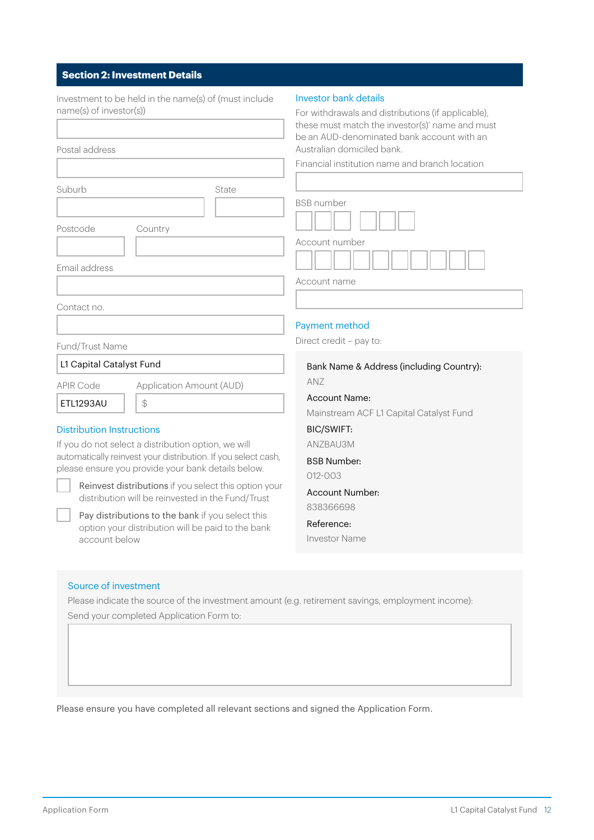## **Section 2: Investment Details**

| Investment to be held in the name(s) of (must include<br>name(s) of investor(s))<br>Postal address                                                                                                                                                                                         | <b>Investor bank details</b><br>For withdrawals and distributions (if applicable),<br>these must match the investor(s)' name and must<br>be an AUD-denominated bank account with an<br>Australian domiciled bank. |
|--------------------------------------------------------------------------------------------------------------------------------------------------------------------------------------------------------------------------------------------------------------------------------------------|-------------------------------------------------------------------------------------------------------------------------------------------------------------------------------------------------------------------|
|                                                                                                                                                                                                                                                                                            | Financial institution name and branch location                                                                                                                                                                    |
| Suburb<br>State<br>Postcode<br>Country<br>Email address                                                                                                                                                                                                                                    | <b>BSB</b> number<br>Account number                                                                                                                                                                               |
|                                                                                                                                                                                                                                                                                            | Account name                                                                                                                                                                                                      |
| Contact no.                                                                                                                                                                                                                                                                                | Payment method<br>Direct credit - pay to:                                                                                                                                                                         |
| Fund/Trust Name                                                                                                                                                                                                                                                                            |                                                                                                                                                                                                                   |
| L1 Capital Catalyst Fund                                                                                                                                                                                                                                                                   | Bank Name & Address (including Country):                                                                                                                                                                          |
| <b>APIR Code</b><br>Application Amount (AUD)<br>\$<br>ETL1293AU<br><b>Distribution Instructions</b><br>If you do not select a distribution option, we will<br>automatically reinvest your distribution. If you select cash,                                                                | ANZ<br><b>Account Name:</b><br>Mainstream ACF L1 Capital Catalyst Fund<br><b>BIC/SWIFT:</b><br>ANZBAU3M                                                                                                           |
| please ensure you provide your bank details below.<br>Reinvest distributions if you select this option your<br>distribution will be reinvested in the Fund/Trust<br>Pay distributions to the bank if you select this<br>option your distribution will be paid to the bank<br>account below | <b>BSB Number:</b><br>012-003<br><b>Account Number:</b><br>838366698<br>Reference:<br><b>Investor Name</b>                                                                                                        |
|                                                                                                                                                                                                                                                                                            |                                                                                                                                                                                                                   |
| Source of investment<br>Please indicate the source of the investment amount (e.g. retirement savings, employment income):<br>Send your completed Application Form to:                                                                                                                      |                                                                                                                                                                                                                   |

Please ensure you have completed all relevant sections and signed the Application Form.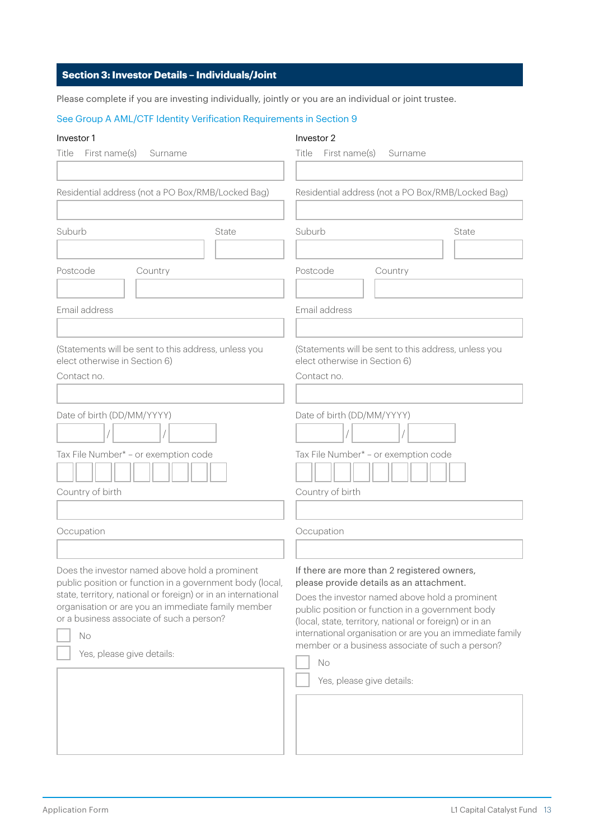## **Section 3: Investor Details – Individuals/Joint**

Please complete if you are investing individually, jointly or you are an individual or joint trustee.

#### See Group A AML/CTF Identity Verification Requirements in Section 9

#### Investor 1

#### Investor 2

| First name(s)<br>Title<br>Surname                                                                                                                                                                                                                                                                                 | First name(s)<br>Title<br>Surname                                                                                                                                                                                                                                                                                                                                                                            |
|-------------------------------------------------------------------------------------------------------------------------------------------------------------------------------------------------------------------------------------------------------------------------------------------------------------------|--------------------------------------------------------------------------------------------------------------------------------------------------------------------------------------------------------------------------------------------------------------------------------------------------------------------------------------------------------------------------------------------------------------|
| Residential address (not a PO Box/RMB/Locked Bag)                                                                                                                                                                                                                                                                 | Residential address (not a PO Box/RMB/Locked Bag)                                                                                                                                                                                                                                                                                                                                                            |
| Suburb<br>State                                                                                                                                                                                                                                                                                                   | Suburb<br>State                                                                                                                                                                                                                                                                                                                                                                                              |
| Postcode<br>Country                                                                                                                                                                                                                                                                                               | Postcode<br>Country                                                                                                                                                                                                                                                                                                                                                                                          |
| Email address                                                                                                                                                                                                                                                                                                     | Email address                                                                                                                                                                                                                                                                                                                                                                                                |
| (Statements will be sent to this address, unless you<br>elect otherwise in Section 6)<br>Contact no.                                                                                                                                                                                                              | (Statements will be sent to this address, unless you<br>elect otherwise in Section 6)<br>Contact no.                                                                                                                                                                                                                                                                                                         |
| Date of birth (DD/MM/YYYY)                                                                                                                                                                                                                                                                                        | Date of birth (DD/MM/YYYY)                                                                                                                                                                                                                                                                                                                                                                                   |
| Tax File Number* - or exemption code<br>Country of birth                                                                                                                                                                                                                                                          | Tax File Number* - or exemption code<br>Country of birth                                                                                                                                                                                                                                                                                                                                                     |
|                                                                                                                                                                                                                                                                                                                   |                                                                                                                                                                                                                                                                                                                                                                                                              |
| Occupation                                                                                                                                                                                                                                                                                                        | Occupation                                                                                                                                                                                                                                                                                                                                                                                                   |
| Does the investor named above hold a prominent<br>public position or function in a government body (local,<br>state, territory, national or foreign) or in an international<br>organisation or are you an immediate family member<br>or a business associate of such a person?<br>No<br>Yes, please give details: | If there are more than 2 registered owners,<br>please provide details as an attachment.<br>Does the investor named above hold a prominent<br>public position or function in a government body<br>(local, state, territory, national or foreign) or in an<br>international organisation or are you an immediate family<br>member or a business associate of such a person?<br>No<br>Yes, please give details: |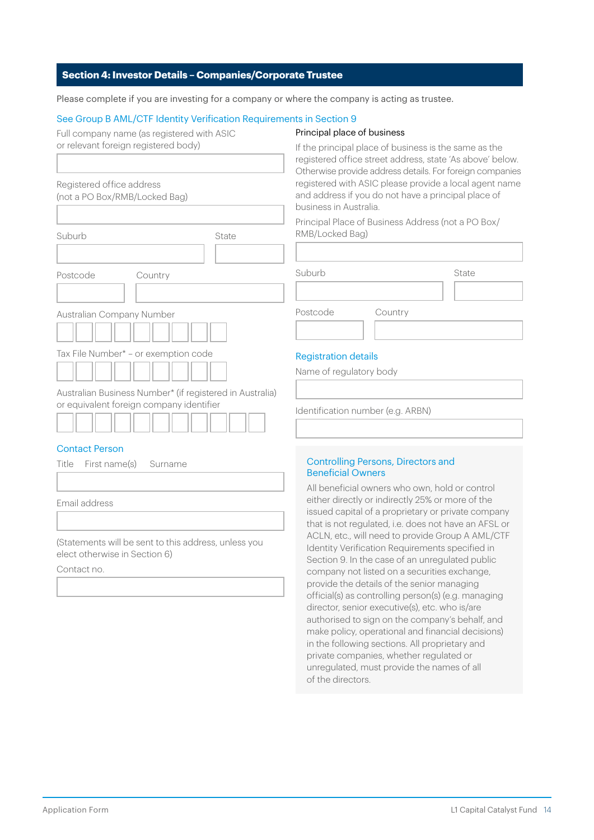#### **Section 4: Investor Details – Companies/Corporate Trustee**

Please complete if you are investing for a company or where the company is acting as trustee.

#### See Group B AML/CTF Identity Verification Requirements in Section 9

| Full company name (as registered with ASIC |  |  |
|--------------------------------------------|--|--|
| or relevant foreign registered body)       |  |  |

#### Principal place of business

| Registered office address<br>(not a PO Box/RMB/Locked Bag)                                           |       |
|------------------------------------------------------------------------------------------------------|-------|
|                                                                                                      |       |
| Suburb                                                                                               | State |
|                                                                                                      |       |
| Postcode<br>Country                                                                                  |       |
|                                                                                                      |       |
| Australian Company Number                                                                            |       |
|                                                                                                      |       |
| Tax File Number* - or exemption code                                                                 |       |
|                                                                                                      |       |
| Australian Business Number* (if registered in Australia)<br>or equivalent foreign company identifier |       |

#### Contact Person

| Title First name(s) Surname |  |
|-----------------------------|--|
|                             |  |
| Email address               |  |
|                             |  |

(Statements will be sent to this address, unless you elect otherwise in Section 6)

Contact no.

If the principal place of business is the same as the registered office street address, state 'As above' below. Otherwise provide address details. For foreign companies registered with ASIC please provide a local agent name and address if you do not have a principal place of business in Australia.

Principal Place of Business Address (not a PO Box/ RMB/Locked Bag)

| Suburb   |         | State |
|----------|---------|-------|
|          |         |       |
| Postcode | Country |       |
|          |         |       |

### Registration details

Name of regulatory body

Identification number (e.g. ARBN)

#### Controlling Persons, Directors and Beneficial Owners

All beneficial owners who own, hold or control either directly or indirectly 25% or more of the issued capital of a proprietary or private company that is not regulated, i.e. does not have an AFSL or ACLN, etc., will need to provide Group A AML/CTF Identity Verification Requirements specified in Section 9. In the case of an unregulated public company not listed on a securities exchange, provide the details of the senior managing official(s) as controlling person(s) (e.g. managing director, senior executive(s), etc. who is/are authorised to sign on the company's behalf, and make policy, operational and financial decisions) in the following sections. All proprietary and private companies, whether regulated or unregulated, must provide the names of all of the directors.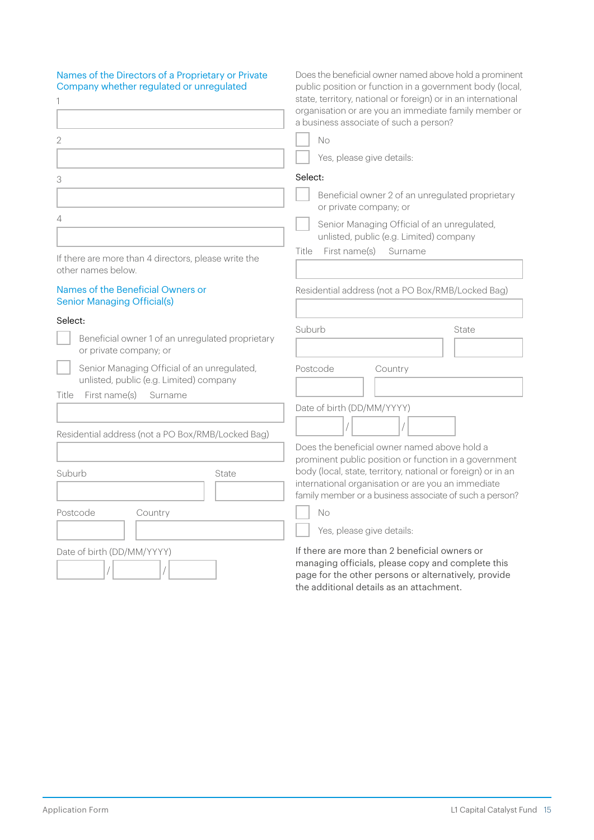| Names of the Directors of a Proprietary or Private<br>Company whether regulated or unregulated | Does the beneficial owner named above hold a prominent<br>public position or function in a government body (local,<br>state, territory, national or foreign) or in an international<br>organisation or are you an immediate family member or<br>a business associate of such a person? |
|------------------------------------------------------------------------------------------------|----------------------------------------------------------------------------------------------------------------------------------------------------------------------------------------------------------------------------------------------------------------------------------------|
| 2                                                                                              | No                                                                                                                                                                                                                                                                                     |
|                                                                                                | Yes, please give details:                                                                                                                                                                                                                                                              |
| 3                                                                                              | Select:                                                                                                                                                                                                                                                                                |
|                                                                                                | Beneficial owner 2 of an unregulated proprietary<br>or private company; or                                                                                                                                                                                                             |
| 4                                                                                              | Senior Managing Official of an unregulated,<br>unlisted, public (e.g. Limited) company                                                                                                                                                                                                 |
| If there are more than 4 directors, please write the<br>other names below.                     | First name(s)<br>Title<br>Surname                                                                                                                                                                                                                                                      |
| Names of the Beneficial Owners or<br><b>Senior Managing Official(s)</b>                        | Residential address (not a PO Box/RMB/Locked Bag)                                                                                                                                                                                                                                      |
| Select:<br>Beneficial owner 1 of an unregulated proprietary<br>or private company; or          | Suburb<br>State                                                                                                                                                                                                                                                                        |
| Senior Managing Official of an unregulated,<br>unlisted, public (e.g. Limited) company         | Postcode<br>Country                                                                                                                                                                                                                                                                    |
| First name(s)<br>Title<br>Surname                                                              |                                                                                                                                                                                                                                                                                        |
| Residential address (not a PO Box/RMB/Locked Bag)                                              | Date of birth (DD/MM/YYYY)                                                                                                                                                                                                                                                             |
|                                                                                                | Does the beneficial owner named above hold a                                                                                                                                                                                                                                           |
| Suburb<br>State                                                                                | prominent public position or function in a government<br>body (local, state, territory, national or foreign) or in an<br>international organisation or are you an immediate<br>family member or a business associate of such a person?                                                 |
| Postcode<br>Country                                                                            | No                                                                                                                                                                                                                                                                                     |
|                                                                                                | Yes, please give details:                                                                                                                                                                                                                                                              |
| Date of birth (DD/MM/YYYY)                                                                     | If there are more than 2 beneficial owners or<br>managing officials, please copy and complete this<br>page for the other persons or alternatively, provide                                                                                                                             |

page for the other persons or alternatively, provide the additional details as an attachment.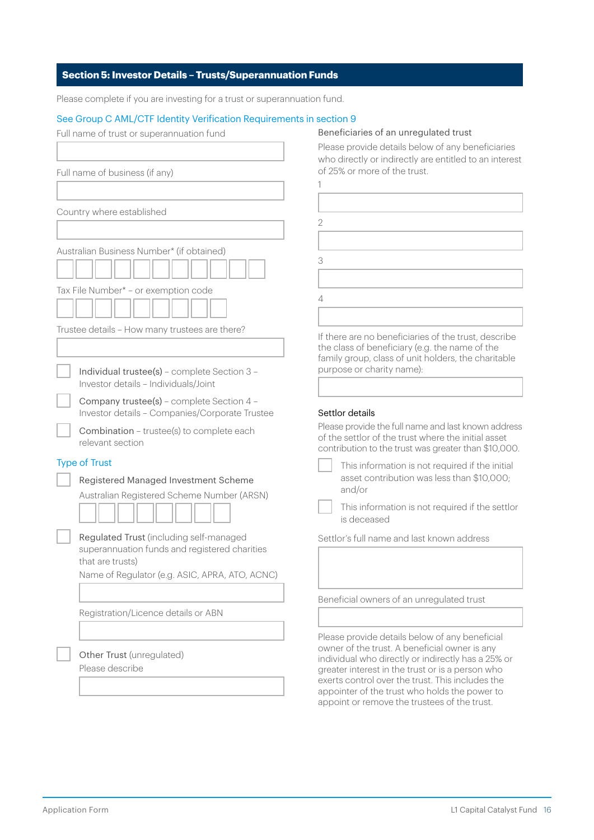#### **Section 5: Investor Details – Trusts/Superannuation Funds**

Please complete if you are investing for a trust or superannuation fund.

#### See Group C AML/CTF Identity Verification Requirements in section 9

| Full name of trust or superannuation fund                                                                    | Beneficiaries of an unregulated trust                                                                                                                                                                                  |
|--------------------------------------------------------------------------------------------------------------|------------------------------------------------------------------------------------------------------------------------------------------------------------------------------------------------------------------------|
|                                                                                                              | Please provide details below of any be<br>who directly or indirectly are entitled t                                                                                                                                    |
| Full name of business (if any)                                                                               | of 25% or more of the trust.                                                                                                                                                                                           |
|                                                                                                              |                                                                                                                                                                                                                        |
| Country where established                                                                                    |                                                                                                                                                                                                                        |
|                                                                                                              | $\overline{2}$                                                                                                                                                                                                         |
| Australian Business Number* (if obtained)                                                                    |                                                                                                                                                                                                                        |
|                                                                                                              | 3                                                                                                                                                                                                                      |
| Tax File Number* - or exemption code                                                                         | 4                                                                                                                                                                                                                      |
|                                                                                                              |                                                                                                                                                                                                                        |
| Trustee details - How many trustees are there?                                                               | If there are no beneficiaries of the trus                                                                                                                                                                              |
|                                                                                                              | the class of beneficiary (e.g. the name<br>family group, class of unit holders, the                                                                                                                                    |
| Individual trustee(s) - complete Section 3 -<br>Investor details - Individuals/Joint                         | purpose or charity name):                                                                                                                                                                                              |
| Company trustee(s) - complete Section 4 -                                                                    |                                                                                                                                                                                                                        |
| Investor details - Companies/Corporate Trustee                                                               | Settlor details                                                                                                                                                                                                        |
| Combination - trustee(s) to complete each<br>relevant section                                                | Please provide the full name and last kn<br>of the settlor of the trust where the ini<br>contribution to the trust was greater th                                                                                      |
| <b>Type of Trust</b>                                                                                         | This information is not required i                                                                                                                                                                                     |
| Registered Managed Investment Scheme                                                                         | asset contribution was less than<br>and/or                                                                                                                                                                             |
| Australian Registered Scheme Number (ARSN)                                                                   | This information is not required i                                                                                                                                                                                     |
|                                                                                                              | is deceased                                                                                                                                                                                                            |
| Regulated Trust (including self-managed<br>superannuation funds and registered charities<br>that are trusts) | Settlor's full name and last known add                                                                                                                                                                                 |
| Name of Regulator (e.g. ASIC, APRA, ATO, ACNC)                                                               |                                                                                                                                                                                                                        |
|                                                                                                              | Beneficial owners of an unregulated ti                                                                                                                                                                                 |
| Registration/Licence details or ABN                                                                          |                                                                                                                                                                                                                        |
| Other Trust (unregulated)                                                                                    | Please provide details below of any be<br>owner of the trust. A beneficial owner                                                                                                                                       |
| Please describe                                                                                              | individual who directly or indirectly ha<br>greater interest in the trust or is a pers<br>exerts control over the trust. This inclu<br>appointer of the trust who holds the p<br>annoint or remove the trustees of the |

beneficiaries ed to an interest

trust, describe ame of the the charitable

known address initial asset r than \$10,000.

> ed if the initial an \$10,000;

ed if the settlor

address

d trust

beneficial ner is any  $\frac{1}{10}$  has a 25% or erson who ncludes the e power to appoint or remove the trustees of the trust.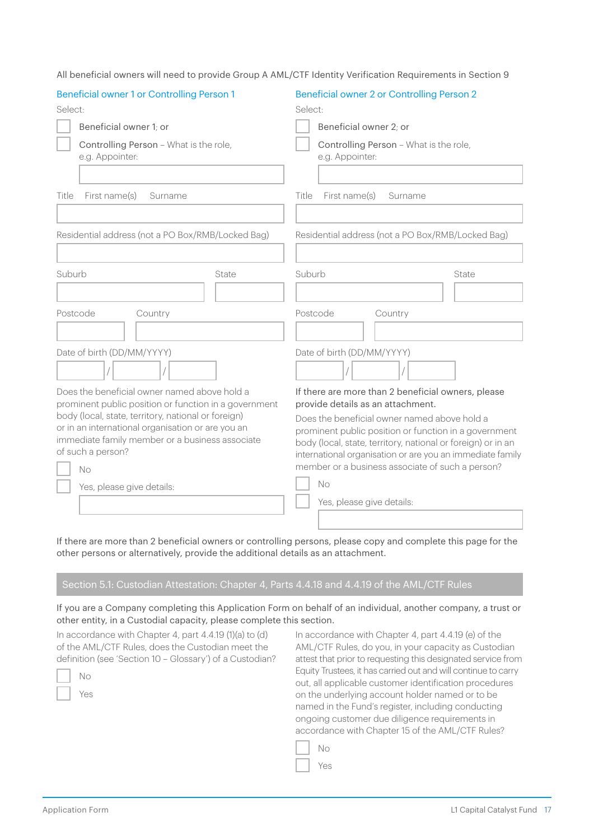| <b>Beneficial owner 1 or Controlling Person 1</b>                                                     | Beneficial owner 2 or Controlling Person 2                                                                                |  |  |
|-------------------------------------------------------------------------------------------------------|---------------------------------------------------------------------------------------------------------------------------|--|--|
| Select:                                                                                               | Select:                                                                                                                   |  |  |
| Beneficial owner 1: or                                                                                | Beneficial owner 2; or                                                                                                    |  |  |
| Controlling Person - What is the role,<br>e.g. Appointer:                                             | Controlling Person - What is the role,<br>e.g. Appointer:                                                                 |  |  |
|                                                                                                       |                                                                                                                           |  |  |
| First name(s)<br>Title<br>Surname                                                                     | Title<br>First name(s)<br>Surname                                                                                         |  |  |
|                                                                                                       |                                                                                                                           |  |  |
| Residential address (not a PO Box/RMB/Locked Bag)                                                     | Residential address (not a PO Box/RMB/Locked Bag)                                                                         |  |  |
|                                                                                                       |                                                                                                                           |  |  |
| Suburb<br>State                                                                                       | Suburb<br>State                                                                                                           |  |  |
|                                                                                                       |                                                                                                                           |  |  |
| Postcode<br>Country                                                                                   | Postcode<br>Country                                                                                                       |  |  |
|                                                                                                       |                                                                                                                           |  |  |
| Date of birth (DD/MM/YYYY)                                                                            | Date of birth (DD/MM/YYYY)                                                                                                |  |  |
|                                                                                                       |                                                                                                                           |  |  |
| Does the beneficial owner named above hold a<br>prominent public position or function in a government | If there are more than 2 beneficial owners, please<br>provide details as an attachment.                                   |  |  |
| body (local, state, territory, national or foreign)                                                   | Does the beneficial owner named above hold a                                                                              |  |  |
| or in an international organisation or are you an                                                     | prominent public position or function in a government                                                                     |  |  |
| immediate family member or a business associate<br>of such a person?                                  | body (local, state, territory, national or foreign) or in an<br>international organisation or are you an immediate family |  |  |
| No                                                                                                    | member or a business associate of such a person?                                                                          |  |  |
| Yes, please give details:                                                                             | <b>No</b>                                                                                                                 |  |  |
|                                                                                                       | Yes, please give details:                                                                                                 |  |  |
|                                                                                                       |                                                                                                                           |  |  |

All beneficial owners will need to provide Group A AML/CTF Identity Verification Requirements in Section 9

If there are more than 2 beneficial owners or controlling persons, please copy and complete this page for the other persons or alternatively, provide the additional details as an attachment.

## Section 5.1: Custodian Attestation: Chapter 4, Parts 4.4.18 and 4.4.19 of the AML/CTF Rules

If you are a Company completing this Application Form on behalf of an individual, another company, a trust or other entity, in a Custodial capacity, please complete this section.

In accordance with Chapter 4, part 4.4.19 (1)(a) to (d) of the AML/CTF Rules, does the Custodian meet the definition (see 'Section 10 – Glossary') of a Custodian?

In accordance with Chapter 4, part 4.4.19 (e) of the AML/CTF Rules, do you, in your capacity as Custodian attest that prior to requesting this designated service from Equity Trustees, it has carried out and will continue to carry out, all applicable customer identification procedures on the underlying account holder named or to be named in the Fund's register, including conducting ongoing customer due diligence requirements in accordance with Chapter 15 of the AML/CTF Rules?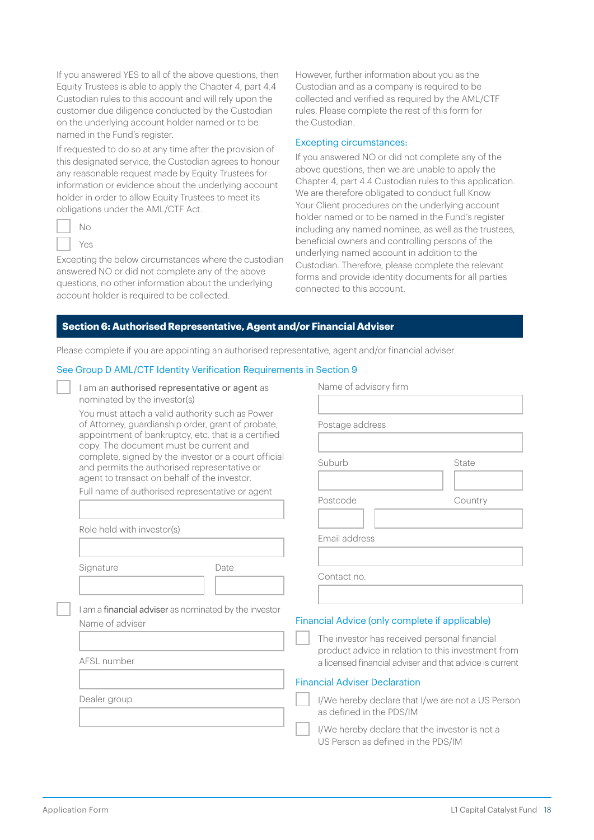If you answered YES to all of the above questions, then Equity Trustees is able to apply the Chapter 4, part 4.4 Custodian rules to this account and will rely upon the customer due diligence conducted by the Custodian on the underlying account holder named or to be named in the Fund's register.

If requested to do so at any time after the provision of this designated service, the Custodian agrees to honour any reasonable request made by Equity Trustees for information or evidence about the underlying account holder in order to allow Equity Trustees to meet its obligations under the AML/CTF Act.

| ∼<br>ı |
|--------|
| 2      |

Excepting the below circumstances where the custodian answered NO or did not complete any of the above questions, no other information about the underlying account holder is required to be collected.

However, further information about you as the Custodian and as a company is required to be collected and verified as required by the AML/CTF rules. Please complete the rest of this form for the Custodian.

#### Excepting circumstances:

If you answered NO or did not complete any of the above questions, then we are unable to apply the Chapter 4, part 4.4 Custodian rules to this application. We are therefore obligated to conduct full Know Your Client procedures on the underlying account holder named or to be named in the Fund's register including any named nominee, as well as the trustees, beneficial owners and controlling persons of the underlying named account in addition to the Custodian. Therefore, please complete the relevant forms and provide identity documents for all parties connected to this account.

#### **Section 6: Authorised Representative, Agent and/or Financial Adviser**

Please complete if you are appointing an authorised representative, agent and/or financial adviser.

#### See Group D AML/CTF Identity Verification Requirements in Section 9

| I am an authorised representative or agent as |  |
|-----------------------------------------------|--|
| nominated by the investor(s)                  |  |

You must attach a valid authority such as Power of Attorney, guardianship order, grant of probate, appointment of bankruptcy, etc. that is a certified copy. The document must be current and complete, signed by the investor or a court official and permits the authorised representative or agent to transact on behalf of the investor.

Full name of authorised representative or agent

Role held with investor(s)

Signature Date

I am a financial adviser as nominated by the investor Name of adviser

AFSL number

Dealer group

| Name of advisory firm                                                                                         |         |
|---------------------------------------------------------------------------------------------------------------|---------|
|                                                                                                               |         |
|                                                                                                               |         |
| Postage address                                                                                               |         |
|                                                                                                               |         |
| Suburb                                                                                                        | State   |
|                                                                                                               |         |
| Postcode                                                                                                      | Country |
|                                                                                                               |         |
| Email address                                                                                                 |         |
|                                                                                                               |         |
| Contact no.                                                                                                   |         |
|                                                                                                               |         |
|                                                                                                               |         |
| Financial Advice (only complete if applicable)                                                                |         |
| The investor has received personal financial                                                                  |         |
| product advice in relation to this investment from<br>a licensed financial adviser and that advice is current |         |

#### Financial Adviser Declaration

I/We hereby declare that I/we are not a US Person as defined in the PDS/IM

I/We hereby declare that the investor is not a US Person as defined in the PDS/IM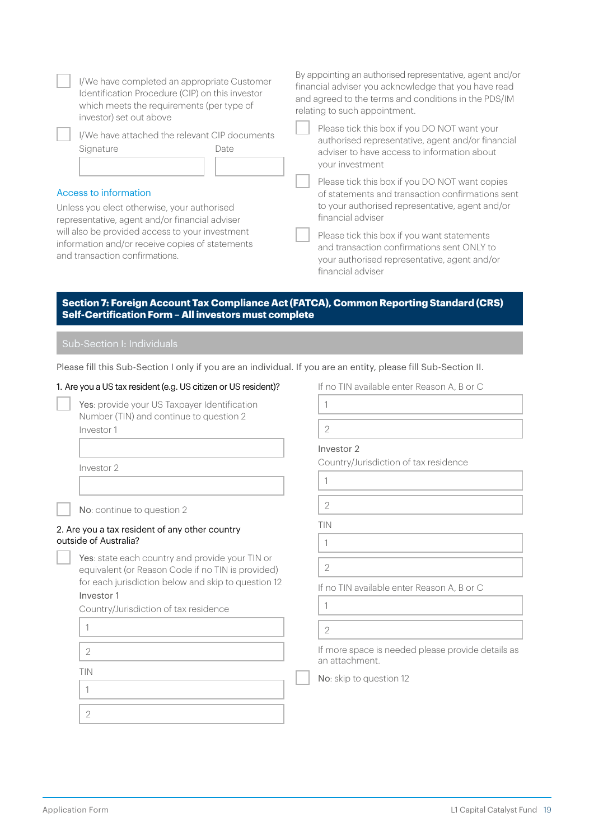| I/We have completed an appropriate Customer<br>Identification Procedure (CIP) on this investor<br>which meets the requirements (per type of<br>investor) set out above                                                                                         | By appointing an authorised representative, agent and/or<br>financial adviser you acknowledge that you have read<br>and agreed to the terms and conditions in the PDS/IM<br>relating to such appointment.                                                                                                                                    |  |  |
|----------------------------------------------------------------------------------------------------------------------------------------------------------------------------------------------------------------------------------------------------------------|----------------------------------------------------------------------------------------------------------------------------------------------------------------------------------------------------------------------------------------------------------------------------------------------------------------------------------------------|--|--|
| I/We have attached the relevant CIP documents<br>Signature<br>Date                                                                                                                                                                                             | Please tick this box if you DO NOT want your<br>authorised representative, agent and/or financial<br>adviser to have access to information about<br>your investment                                                                                                                                                                          |  |  |
| Access to information<br>Unless you elect otherwise, your authorised<br>representative, agent and/or financial adviser<br>will also be provided access to your investment<br>information and/or receive copies of statements<br>and transaction confirmations. | Please tick this box if you DO NOT want copies<br>of statements and transaction confirmations sent<br>to your authorised representative, agent and/or<br>financial adviser<br>Please tick this box if you want statements<br>and transaction confirmations sent ONLY to<br>your authorised representative, agent and/or<br>financial adviser |  |  |
| Section 7: Foreign Account Tax Compliance Act (FATCA), Common Reporting Standard (CRS)<br>Self-Certification Form - All investors must complete<br>Sub-Section I: Individuals                                                                                  |                                                                                                                                                                                                                                                                                                                                              |  |  |
| Please fill this Sub-Section I only if you are an individual. If you are an entity, please fill Sub-Section II.                                                                                                                                                |                                                                                                                                                                                                                                                                                                                                              |  |  |
| 1. Are you a US tax resident (e.g. US citizen or US resident)?                                                                                                                                                                                                 | If no TIN available enter Reason A, B or C                                                                                                                                                                                                                                                                                                   |  |  |
| Yes: provide your US Taxpayer Identification<br>Number (TIN) and continue to question 2<br>Investor 1                                                                                                                                                          | 1<br>$\overline{2}$<br>Investor 2                                                                                                                                                                                                                                                                                                            |  |  |
| Investor 2                                                                                                                                                                                                                                                     | Country/Jurisdiction of tax residence<br>1                                                                                                                                                                                                                                                                                                   |  |  |
| No: continue to question 2                                                                                                                                                                                                                                     | 2                                                                                                                                                                                                                                                                                                                                            |  |  |
| 2. Are you a tax resident of any other country<br>outside of Australia?                                                                                                                                                                                        | TIN<br>1                                                                                                                                                                                                                                                                                                                                     |  |  |
| Yes: state each country and provide your TIN or<br>equivalent (or Reason Code if no TIN is provided)                                                                                                                                                           | $\overline{2}$                                                                                                                                                                                                                                                                                                                               |  |  |
| for each jurisdiction below and skip to question 12<br>Investor 1                                                                                                                                                                                              | If no TIN available enter Reason A, B or C                                                                                                                                                                                                                                                                                                   |  |  |
| Country/Jurisdiction of tax residence                                                                                                                                                                                                                          | $\mathbf{1}$                                                                                                                                                                                                                                                                                                                                 |  |  |
| 1                                                                                                                                                                                                                                                              | 2                                                                                                                                                                                                                                                                                                                                            |  |  |
| 2                                                                                                                                                                                                                                                              | If more space is needed please provide details as<br>an attachment.                                                                                                                                                                                                                                                                          |  |  |
| TIN<br>1                                                                                                                                                                                                                                                       | No: skip to question 12                                                                                                                                                                                                                                                                                                                      |  |  |
| 2                                                                                                                                                                                                                                                              |                                                                                                                                                                                                                                                                                                                                              |  |  |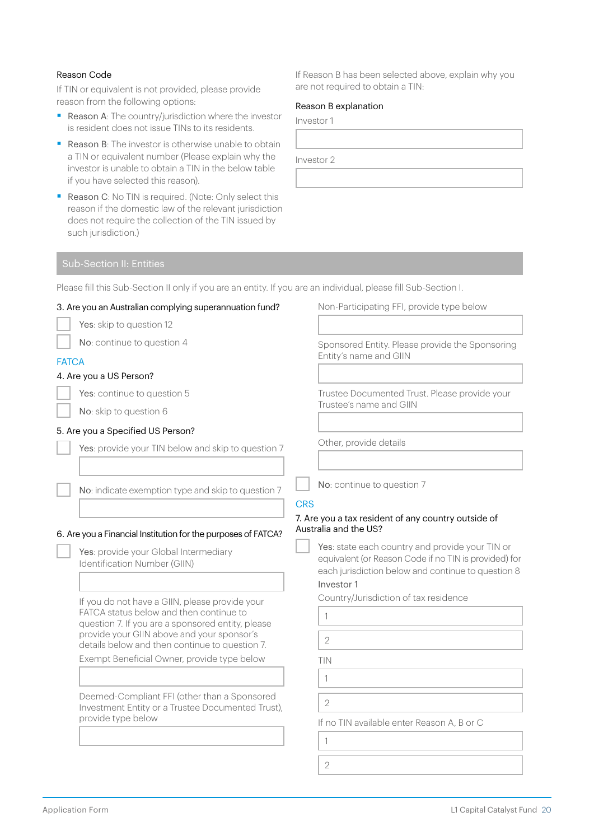#### Reason Code

If TIN or equivalent is not provided, please provide reason from the following options:

- Reason A: The country/jurisdiction where the investor is resident does not issue TINs to its residents.
- Reason B: The investor is otherwise unable to obtain a TIN or equivalent number (Please explain why the investor is unable to obtain a TIN in the below table if you have selected this reason).
- Reason C: No TIN is required. (Note: Only select this reason if the domestic law of the relevant jurisdiction does not require the collection of the TIN issued by such jurisdiction.)

If Reason B has been selected above, explain why you are not required to obtain a TIN:

#### Reason B explanation

Investor 1

Investor 2

Please fill this Sub-Section II only if you are an entity. If you are an individual, please fill Sub-Section I.

| 3. Are you an Australian complying superannuation fund?                                                                                                                                                                                                                                       | Non-Participating FFI, provide type below                                                                                                                                                                                                                    |
|-----------------------------------------------------------------------------------------------------------------------------------------------------------------------------------------------------------------------------------------------------------------------------------------------|--------------------------------------------------------------------------------------------------------------------------------------------------------------------------------------------------------------------------------------------------------------|
| Yes: skip to question 12                                                                                                                                                                                                                                                                      |                                                                                                                                                                                                                                                              |
| No: continue to question 4                                                                                                                                                                                                                                                                    | Sponsored Entity. Please provide the Sponsoring<br>Entity's name and GIIN                                                                                                                                                                                    |
| <b>FATCA</b>                                                                                                                                                                                                                                                                                  |                                                                                                                                                                                                                                                              |
| 4. Are you a US Person?                                                                                                                                                                                                                                                                       |                                                                                                                                                                                                                                                              |
| Yes: continue to question 5                                                                                                                                                                                                                                                                   | Trustee Documented Trust. Please provide your                                                                                                                                                                                                                |
| No: skip to question 6                                                                                                                                                                                                                                                                        | Trustee's name and GIIN                                                                                                                                                                                                                                      |
| 5. Are you a Specified US Person?                                                                                                                                                                                                                                                             |                                                                                                                                                                                                                                                              |
| Yes: provide your TIN below and skip to question 7                                                                                                                                                                                                                                            | Other, provide details                                                                                                                                                                                                                                       |
| No: indicate exemption type and skip to question 7                                                                                                                                                                                                                                            | No: continue to question 7<br><b>CRS</b>                                                                                                                                                                                                                     |
| 6. Are you a Financial Institution for the purposes of FATCA?<br>Yes: provide your Global Intermediary<br>Identification Number (GIIN)                                                                                                                                                        | 7. Are you a tax resident of any country outside of<br>Australia and the US?<br>Yes: state each country and provide your TIN or<br>equivalent (or Reason Code if no TIN is provided) for<br>each jurisdiction below and continue to question 8<br>Investor 1 |
| If you do not have a GIIN, please provide your<br>FATCA status below and then continue to<br>question 7. If you are a sponsored entity, please<br>provide your GIIN above and your sponsor's<br>details below and then continue to question 7.<br>Exempt Beneficial Owner, provide type below | Country/Jurisdiction of tax residence<br>1<br>$\overline{2}$<br>TIN                                                                                                                                                                                          |
| Deemed-Compliant FFI (other than a Sponsored<br>Investment Entity or a Trustee Documented Trust),<br>provide type below                                                                                                                                                                       | 1<br>$\overline{2}$<br>If no TIN available enter Reason A, B or C<br>1                                                                                                                                                                                       |
|                                                                                                                                                                                                                                                                                               | $\overline{2}$                                                                                                                                                                                                                                               |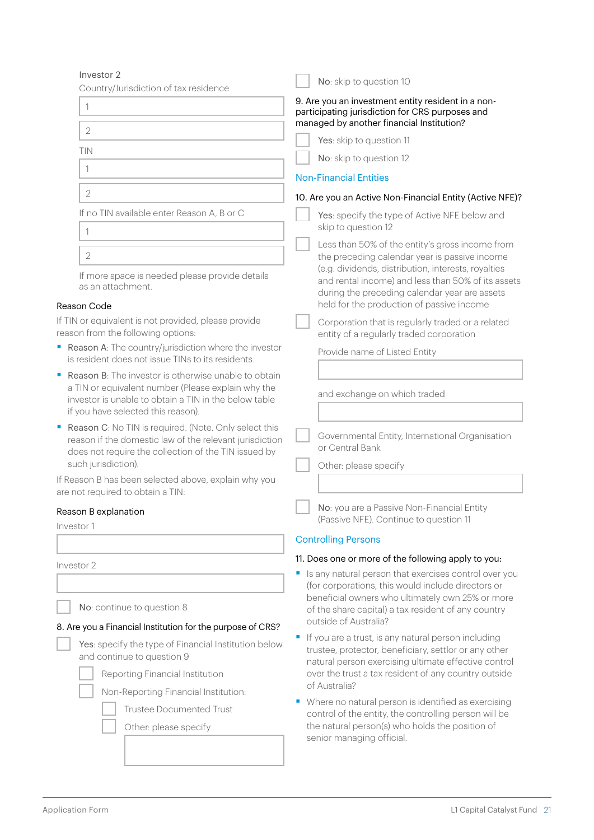| Investor 2                                                                                                                                                                                                            | No: skip to question 10                                                                                           |  |  |
|-----------------------------------------------------------------------------------------------------------------------------------------------------------------------------------------------------------------------|-------------------------------------------------------------------------------------------------------------------|--|--|
| Country/Jurisdiction of tax residence                                                                                                                                                                                 |                                                                                                                   |  |  |
| 1                                                                                                                                                                                                                     | 9. Are you an investment entity resident in a non-<br>participating jurisdiction for CRS purposes and             |  |  |
| $\overline{2}$                                                                                                                                                                                                        | managed by another financial Institution?                                                                         |  |  |
| TIN                                                                                                                                                                                                                   | Yes: skip to question 11                                                                                          |  |  |
|                                                                                                                                                                                                                       | No: skip to question 12                                                                                           |  |  |
| 1                                                                                                                                                                                                                     | <b>Non-Financial Entities</b>                                                                                     |  |  |
| $\overline{2}$                                                                                                                                                                                                        | 10. Are you an Active Non-Financial Entity (Active NFE)?                                                          |  |  |
| If no TIN available enter Reason A, B or C                                                                                                                                                                            | Yes: specify the type of Active NFE below and<br>skip to question 12                                              |  |  |
| 1                                                                                                                                                                                                                     | Less than 50% of the entity's gross income from                                                                   |  |  |
| $\overline{2}$                                                                                                                                                                                                        | the preceding calendar year is passive income<br>(e.g. dividends, distribution, interests, royalties              |  |  |
| If more space is needed please provide details<br>as an attachment.                                                                                                                                                   | and rental income) and less than 50% of its assets<br>during the preceding calendar year are assets               |  |  |
| Reason Code                                                                                                                                                                                                           | held for the production of passive income                                                                         |  |  |
| If TIN or equivalent is not provided, please provide<br>reason from the following options:                                                                                                                            | Corporation that is regularly traded or a related<br>entity of a regularly traded corporation                     |  |  |
| Reason A: The country/jurisdiction where the investor<br>is resident does not issue TINs to its residents.                                                                                                            | Provide name of Listed Entity                                                                                     |  |  |
| <b>Reason B:</b> The investor is otherwise unable to obtain<br>п<br>a TIN or equivalent number (Please explain why the<br>investor is unable to obtain a TIN in the below table<br>if you have selected this reason). | and exchange on which traded                                                                                      |  |  |
| Reason C: No TIN is required. (Note. Only select this<br>reason if the domestic law of the relevant jurisdiction<br>does not require the collection of the TIN issued by<br>such jurisdiction).                       | Governmental Entity, International Organisation<br>or Central Bank<br>Other: please specify                       |  |  |
| If Reason B has been selected above, explain why you                                                                                                                                                                  |                                                                                                                   |  |  |
| are not required to obtain a TIN:                                                                                                                                                                                     |                                                                                                                   |  |  |
| Reason B explanation<br>Investor 1                                                                                                                                                                                    | No: you are a Passive Non-Financial Entity<br>(Passive NFE). Continue to question 11                              |  |  |
|                                                                                                                                                                                                                       | <b>Controlling Persons</b>                                                                                        |  |  |
| Investor 2                                                                                                                                                                                                            | 11. Does one or more of the following apply to you:                                                               |  |  |
|                                                                                                                                                                                                                       | Is any natural person that exercises control over you<br>(for corporations, this would include directors or       |  |  |
|                                                                                                                                                                                                                       | beneficial owners who ultimately own 25% or more                                                                  |  |  |
| No: continue to question 8                                                                                                                                                                                            | of the share capital) a tax resident of any country                                                               |  |  |
| 8. Are you a Financial Institution for the purpose of CRS?                                                                                                                                                            | outside of Australia?                                                                                             |  |  |
| Yes: specify the type of Financial Institution below<br>and continue to question 9                                                                                                                                    | If you are a trust, is any natural person including<br>ш<br>trustee, protector, beneficiary, settlor or any other |  |  |
| Reporting Financial Institution                                                                                                                                                                                       | natural person exercising ultimate effective control<br>over the trust a tax resident of any country outside      |  |  |
| Non-Reporting Financial Institution:                                                                                                                                                                                  | of Australia?                                                                                                     |  |  |
| <b>Trustee Documented Trust</b>                                                                                                                                                                                       | • Where no natural person is identified as exercising<br>control of the entity, the controlling person will be    |  |  |

Other: please specify

the natural person(s) who holds the position of

senior managing official.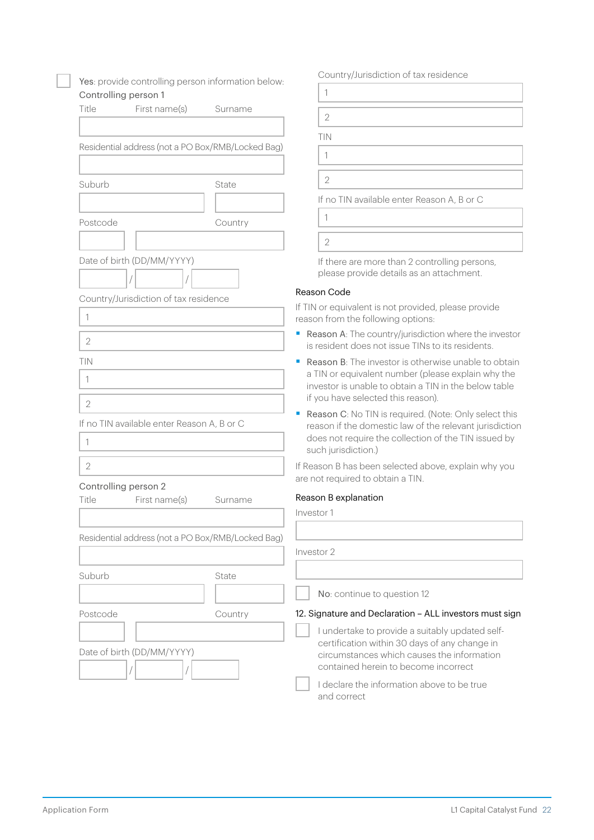| Yes: provide controlling person information below:                |         | Country/Jurisdiction of tax residence                                                                                                                                                                            |  |  |
|-------------------------------------------------------------------|---------|------------------------------------------------------------------------------------------------------------------------------------------------------------------------------------------------------------------|--|--|
| Controlling person 1                                              |         | 1                                                                                                                                                                                                                |  |  |
| Title<br>First name(s)                                            | Surname | $\overline{2}$                                                                                                                                                                                                   |  |  |
|                                                                   |         | TIN                                                                                                                                                                                                              |  |  |
| Residential address (not a PO Box/RMB/Locked Bag)                 |         | 1                                                                                                                                                                                                                |  |  |
|                                                                   |         |                                                                                                                                                                                                                  |  |  |
| Suburb                                                            | State   | $\overline{2}$                                                                                                                                                                                                   |  |  |
|                                                                   |         | If no TIN available enter Reason A, B or C                                                                                                                                                                       |  |  |
| Postcode                                                          | Country | 1                                                                                                                                                                                                                |  |  |
|                                                                   |         | $\overline{2}$                                                                                                                                                                                                   |  |  |
| Date of birth (DD/MM/YYYY)                                        |         | If there are more than 2 controlling persons,<br>please provide details as an attachment.                                                                                                                        |  |  |
| Country/Jurisdiction of tax residence                             |         | Reason Code                                                                                                                                                                                                      |  |  |
| 1                                                                 |         | If TIN or equivalent is not provided, please provide<br>reason from the following options:                                                                                                                       |  |  |
| $\sqrt{2}$                                                        |         | Reason A: The country/jurisdiction where the investor<br>is resident does not issue TINs to its residents.                                                                                                       |  |  |
| TIN<br>1                                                          |         | <b>Reason B:</b> The investor is otherwise unable to obtain<br>a TIN or equivalent number (please explain why the<br>investor is unable to obtain a TIN in the below table<br>if you have selected this reason). |  |  |
| $\overline{2}$<br>If no TIN available enter Reason A, B or C<br>1 |         | Reason C: No TIN is required. (Note: Only select this<br>reason if the domestic law of the relevant jurisdiction<br>does not require the collection of the TIN issued by<br>such jurisdiction.)                  |  |  |
| $\overline{2}$                                                    |         | If Reason B has been selected above, explain why you<br>are not required to obtain a TIN.                                                                                                                        |  |  |
| Controlling person 2<br>Title<br>First name(s)                    | Surname | Reason B explanation                                                                                                                                                                                             |  |  |
|                                                                   |         | Investor 1                                                                                                                                                                                                       |  |  |
| Residential address (not a PO Box/RMB/Locked Bag)                 |         |                                                                                                                                                                                                                  |  |  |
|                                                                   |         | Investor 2                                                                                                                                                                                                       |  |  |
| Suburb                                                            | State   |                                                                                                                                                                                                                  |  |  |
|                                                                   |         | No: continue to question 12                                                                                                                                                                                      |  |  |
| Postcode                                                          | Country | 12. Signature and Declaration - ALL investors must sign                                                                                                                                                          |  |  |
| Date of birth (DD/MM/YYYY)                                        |         | I undertake to provide a suitably updated self-<br>certification within 30 days of any change in<br>circumstances which causes the information<br>contained herein to become incorrect                           |  |  |
|                                                                   |         | I declare the information above to be true<br>and correct                                                                                                                                                        |  |  |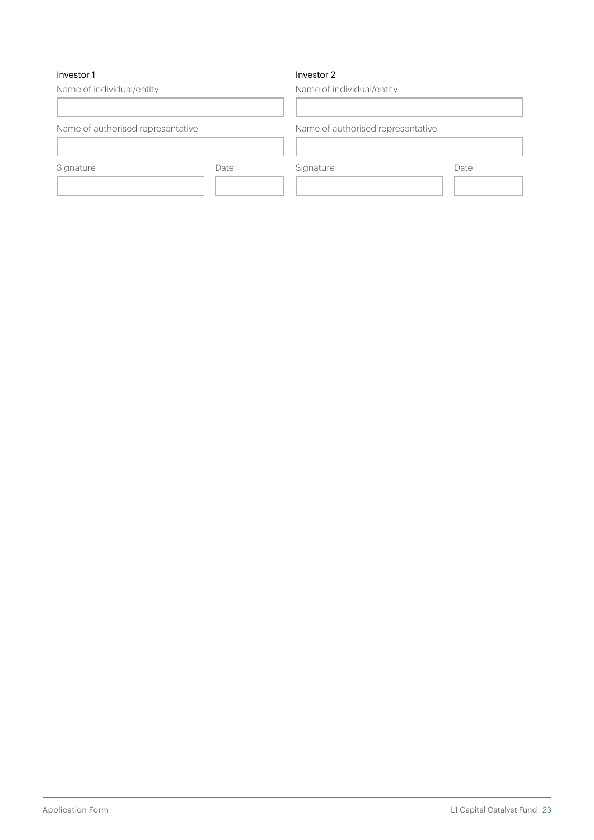#### Investor 1

#### Investor 2

Name of individual/entity Name of authorised representative Signature Date Name of individual/entity Name of authorised representative Signature Date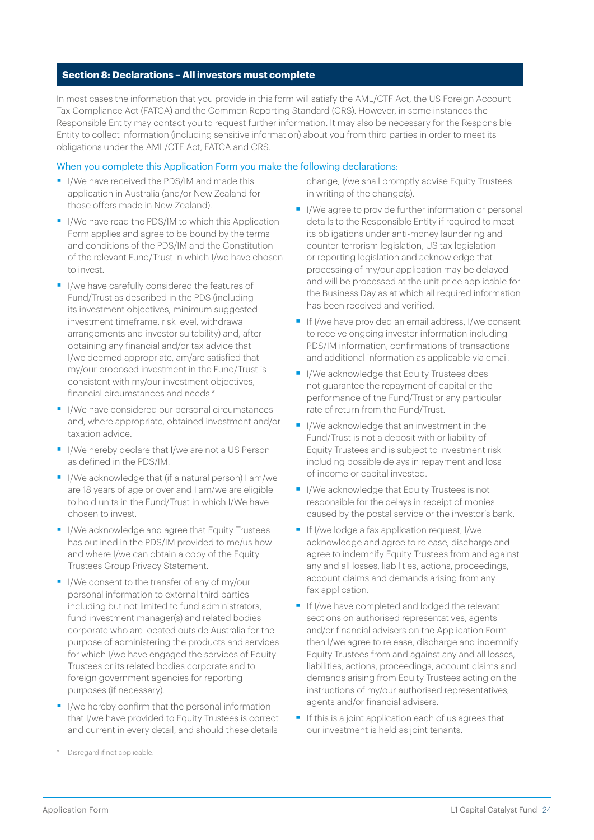#### **Section 8: Declarations – All investors must complete**

In most cases the information that you provide in this form will satisfy the AML/CTF Act, the US Foreign Account Tax Compliance Act (FATCA) and the Common Reporting Standard (CRS). However, in some instances the Responsible Entity may contact you to request further information. It may also be necessary for the Responsible Entity to collect information (including sensitive information) about you from third parties in order to meet its obligations under the AML/CTF Act, FATCA and CRS.

#### When you complete this Application Form you make the following declarations:

- I/We have received the PDS/IM and made this application in Australia (and/or New Zealand for those offers made in New Zealand).
- I/We have read the PDS/IM to which this Application Form applies and agree to be bound by the terms and conditions of the PDS/IM and the Constitution of the relevant Fund/Trust in which I/we have chosen to invest.
- I/we have carefully considered the features of Fund/Trust as described in the PDS (including its investment objectives, minimum suggested investment timeframe, risk level, withdrawal arrangements and investor suitability) and, after obtaining any financial and/or tax advice that I/we deemed appropriate, am/are satisfied that my/our proposed investment in the Fund/Trust is consistent with my/our investment objectives, financial circumstances and needs.\*
- I/We have considered our personal circumstances and, where appropriate, obtained investment and/or taxation advice.
- I/We hereby declare that I/we are not a US Person as defined in the PDS/IM.
- I/We acknowledge that (if a natural person) I am/we are 18 years of age or over and I am/we are eligible to hold units in the Fund/Trust in which I/We have chosen to invest.
- I/We acknowledge and agree that Equity Trustees has outlined in the PDS/IM provided to me/us how and where I/we can obtain a copy of the Equity Trustees Group Privacy Statement.
- I/We consent to the transfer of any of my/our personal information to external third parties including but not limited to fund administrators, fund investment manager(s) and related bodies corporate who are located outside Australia for the purpose of administering the products and services for which I/we have engaged the services of Equity Trustees or its related bodies corporate and to foreign government agencies for reporting purposes (if necessary).
- I/we hereby confirm that the personal information that I/we have provided to Equity Trustees is correct and current in every detail, and should these details

change, I/we shall promptly advise Equity Trustees in writing of the change(s).

- I/We agree to provide further information or personal details to the Responsible Entity if required to meet its obligations under anti-money laundering and counter-terrorism legislation, US tax legislation or reporting legislation and acknowledge that processing of my/our application may be delayed and will be processed at the unit price applicable for the Business Day as at which all required information has been received and verified.
- **•** If I/we have provided an email address, I/we consent to receive ongoing investor information including PDS/IM information, confirmations of transactions and additional information as applicable via email.
- I/We acknowledge that Equity Trustees does not guarantee the repayment of capital or the performance of the Fund/Trust or any particular rate of return from the Fund/Trust.
- I/We acknowledge that an investment in the Fund/Trust is not a deposit with or liability of Equity Trustees and is subject to investment risk including possible delays in repayment and loss of income or capital invested.
- I/We acknowledge that Equity Trustees is not responsible for the delays in receipt of monies caused by the postal service or the investor's bank.
- If I/we lodge a fax application request, I/we acknowledge and agree to release, discharge and agree to indemnify Equity Trustees from and against any and all losses, liabilities, actions, proceedings, account claims and demands arising from any fax application.
- **•** If I/we have completed and lodged the relevant sections on authorised representatives, agents and/or financial advisers on the Application Form then I/we agree to release, discharge and indemnify Equity Trustees from and against any and all losses, liabilities, actions, proceedings, account claims and demands arising from Equity Trustees acting on the instructions of my/our authorised representatives, agents and/or financial advisers.
- If this is a joint application each of us agrees that our investment is held as joint tenants.

Disregard if not applicable.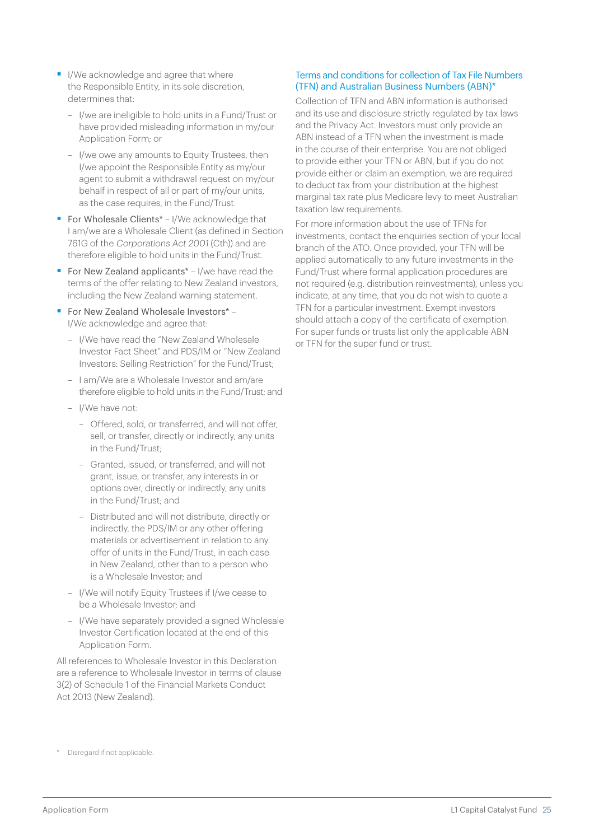- I/We acknowledge and agree that where the Responsible Entity, in its sole discretion, determines that:
	- I/we are ineligible to hold units in a Fund/Trust or have provided misleading information in my/our Application Form; or
	- I/we owe any amounts to Equity Trustees, then I/we appoint the Responsible Entity as my/our agent to submit a withdrawal request on my/our behalf in respect of all or part of my/our units, as the case requires, in the Fund/Trust.
- For Wholesale Clients<sup>\*</sup> I/We acknowledge that I am/we are a Wholesale Client (as defined in Section 761G of the Corporations Act 2001 (Cth)) and are therefore eligible to hold units in the Fund/Trust.
- For New Zealand applicants<sup>\*</sup> I/we have read the terms of the offer relating to New Zealand investors, including the New Zealand warning statement.
- For New Zealand Wholesale Investors\* -I/We acknowledge and agree that:
	- I/We have read the "New Zealand Wholesale Investor Fact Sheet" and PDS/IM or "New Zealand Investors: Selling Restriction" for the Fund/Trust;
	- I am/We are a Wholesale Investor and am/are therefore eligible to hold units in the Fund/Trust; and
	- I/We have not:
		- Offered, sold, or transferred, and will not offer, sell, or transfer, directly or indirectly, any units in the Fund/Trust;
		- Granted, issued, or transferred, and will not grant, issue, or transfer, any interests in or options over, directly or indirectly, any units in the Fund/Trust; and
		- Distributed and will not distribute, directly or indirectly, the PDS/IM or any other offering materials or advertisement in relation to any offer of units in the Fund/Trust, in each case in New Zealand, other than to a person who is a Wholesale Investor; and
	- I/We will notify Equity Trustees if I/we cease to be a Wholesale Investor; and
	- I/We have separately provided a signed Wholesale Investor Certification located at the end of this Application Form.

All references to Wholesale Investor in this Declaration are a reference to Wholesale Investor in terms of clause 3(2) of Schedule 1 of the Financial Markets Conduct Act 2013 (New Zealand).

#### Terms and conditions for collection of Tax File Numbers (TFN) and Australian Business Numbers (ABN)\*

Collection of TFN and ABN information is authorised and its use and disclosure strictly regulated by tax laws and the Privacy Act. Investors must only provide an ABN instead of a TFN when the investment is made in the course of their enterprise. You are not obliged to provide either your TFN or ABN, but if you do not provide either or claim an exemption, we are required to deduct tax from your distribution at the highest marginal tax rate plus Medicare levy to meet Australian taxation law requirements.

For more information about the use of TFNs for investments, contact the enquiries section of your local branch of the ATO. Once provided, your TFN will be applied automatically to any future investments in the Fund/Trust where formal application procedures are not required (e.g. distribution reinvestments), unless you indicate, at any time, that you do not wish to quote a TFN for a particular investment. Exempt investors should attach a copy of the certificate of exemption. For super funds or trusts list only the applicable ABN or TFN for the super fund or trust.

<sup>\*</sup> Disregard if not applicable.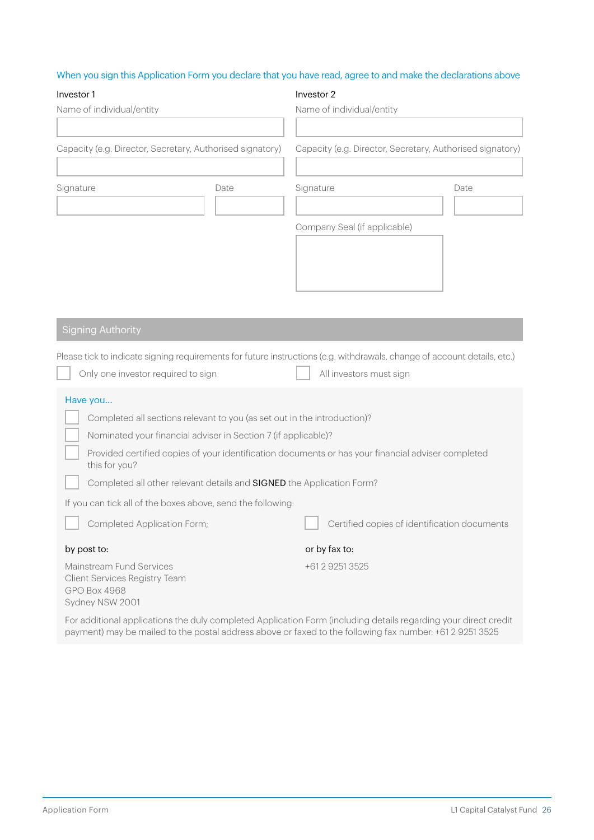## When you sign this Application Form you declare that you have read, agree to and make the declarations above

| Investor 1                                                                                                                                                                                                                  |  | Investor 2        |                              |                                                           |  |  |
|-----------------------------------------------------------------------------------------------------------------------------------------------------------------------------------------------------------------------------|--|-------------------|------------------------------|-----------------------------------------------------------|--|--|
| Name of individual/entity                                                                                                                                                                                                   |  |                   | Name of individual/entity    |                                                           |  |  |
|                                                                                                                                                                                                                             |  |                   |                              |                                                           |  |  |
| Capacity (e.g. Director, Secretary, Authorised signatory)                                                                                                                                                                   |  |                   |                              | Capacity (e.g. Director, Secretary, Authorised signatory) |  |  |
| Signature<br>Date                                                                                                                                                                                                           |  | Signature<br>Date |                              |                                                           |  |  |
|                                                                                                                                                                                                                             |  |                   |                              |                                                           |  |  |
|                                                                                                                                                                                                                             |  |                   | Company Seal (if applicable) |                                                           |  |  |
|                                                                                                                                                                                                                             |  |                   |                              |                                                           |  |  |
|                                                                                                                                                                                                                             |  |                   |                              |                                                           |  |  |
|                                                                                                                                                                                                                             |  |                   |                              |                                                           |  |  |
|                                                                                                                                                                                                                             |  |                   |                              |                                                           |  |  |
| <b>Signing Authority</b>                                                                                                                                                                                                    |  |                   |                              |                                                           |  |  |
| Please tick to indicate signing requirements for future instructions (e.g. withdrawals, change of account details, etc.)                                                                                                    |  |                   |                              |                                                           |  |  |
| Only one investor required to sign                                                                                                                                                                                          |  |                   | All investors must sign      |                                                           |  |  |
| Have you                                                                                                                                                                                                                    |  |                   |                              |                                                           |  |  |
| Completed all sections relevant to you (as set out in the introduction)?                                                                                                                                                    |  |                   |                              |                                                           |  |  |
| Nominated your financial adviser in Section 7 (if applicable)?                                                                                                                                                              |  |                   |                              |                                                           |  |  |
| Provided certified copies of your identification documents or has your financial adviser completed<br>this for you?                                                                                                         |  |                   |                              |                                                           |  |  |
| Completed all other relevant details and SIGNED the Application Form?                                                                                                                                                       |  |                   |                              |                                                           |  |  |
| If you can tick all of the boxes above, send the following:                                                                                                                                                                 |  |                   |                              |                                                           |  |  |
| Completed Application Form;                                                                                                                                                                                                 |  |                   |                              | Certified copies of identification documents              |  |  |
| by post to:                                                                                                                                                                                                                 |  |                   | or by fax to:                |                                                           |  |  |
| Mainstream Fund Services<br><b>Client Services Registry Team</b><br>GPO Box 4968<br>Sydney NSW 2001                                                                                                                         |  |                   | +61 2 9251 3525              |                                                           |  |  |
| For additional applications the duly completed Application Form (including details regarding your direct credit<br>payment) may be mailed to the postal address above or faxed to the following fax number: +61 2 9251 3525 |  |                   |                              |                                                           |  |  |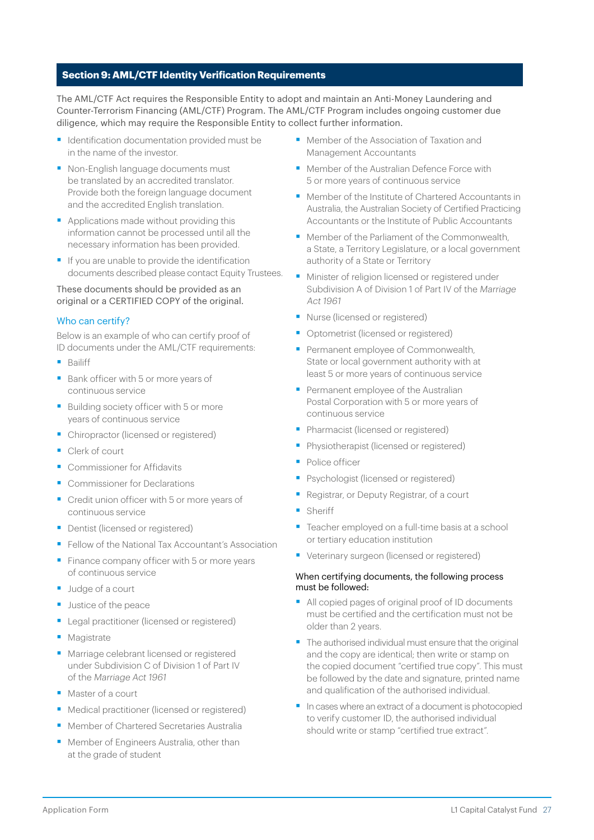#### **Section 9: AML/CTF Identity Verification Requirements**

The AML/CTF Act requires the Responsible Entity to adopt and maintain an Anti-Money Laundering and Counter-Terrorism Financing (AML/CTF) Program. The AML/CTF Program includes ongoing customer due diligence, which may require the Responsible Entity to collect further information.

- Identification documentation provided must be in the name of the investor.
- Non-English language documents must be translated by an accredited translator. Provide both the foreign language document and the accredited English translation.
- Applications made without providing this information cannot be processed until all the necessary information has been provided.
- If you are unable to provide the identification documents described please contact Equity Trustees.

#### These documents should be provided as an original or a CERTIFIED COPY of the original.

#### Who can certify?

Below is an example of who can certify proof of ID documents under the AML/CTF requirements:

- Bailiff
- Bank officer with 5 or more years of continuous service
- Building society officer with 5 or more years of continuous service
- Chiropractor (licensed or registered)
- Clerk of court
- Commissioner for Affidavits
- Commissioner for Declarations
- Credit union officer with 5 or more years of continuous service
- Dentist (licensed or registered)
- Fellow of the National Tax Accountant's Association
- Finance company officer with 5 or more years of continuous service
- Judge of a court
- Justice of the peace
- Legal practitioner (licensed or registered)
- Magistrate
- Marriage celebrant licensed or registered under Subdivision C of Division 1 of Part IV of the Marriage Act 1961
- Master of a court
- Medical practitioner (licensed or registered)
- Member of Chartered Secretaries Australia
- Member of Engineers Australia, other than at the grade of student
- Member of the Association of Taxation and Management Accountants
- Member of the Australian Defence Force with 5 or more years of continuous service
- Member of the Institute of Chartered Accountants in Australia, the Australian Society of Certified Practicing Accountants or the Institute of Public Accountants
- Member of the Parliament of the Commonwealth a State, a Territory Legislature, or a local government authority of a State or Territory
- Minister of religion licensed or registered under Subdivision A of Division 1 of Part IV of the Marriage Act 1961
- Nurse (licensed or registered)
- Optometrist (licensed or registered)
- Permanent employee of Commonwealth, State or local government authority with at least 5 or more years of continuous service
- Permanent employee of the Australian Postal Corporation with 5 or more years of continuous service
- Pharmacist (licensed or registered)
- **•** Physiotherapist (licensed or registered)
- Police officer
- Psychologist (licensed or registered)
- § Registrar, or Deputy Registrar, of a court
- Sheriff
- Teacher employed on a full-time basis at a school or tertiary education institution
- Veterinary surgeon (licensed or registered)

#### When certifying documents, the following process must be followed:

- All copied pages of original proof of ID documents must be certified and the certification must not be older than 2 years.
- The authorised individual must ensure that the original and the copy are identical; then write or stamp on the copied document "certified true copy". This must be followed by the date and signature, printed name and qualification of the authorised individual.
- In cases where an extract of a document is photocopied to verify customer ID, the authorised individual should write or stamp "certified true extract".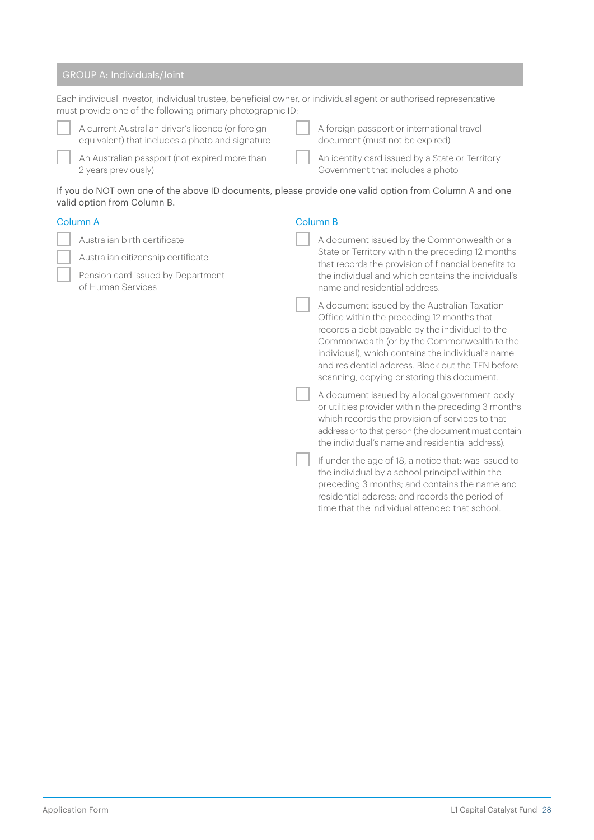| <b>GROUP A: Individuals/Joint</b>                                                                                                                                              |                                                                                                                                       |          |                                                                                                                                                                                                                                                                                                                                                       |  |  |  |  |
|--------------------------------------------------------------------------------------------------------------------------------------------------------------------------------|---------------------------------------------------------------------------------------------------------------------------------------|----------|-------------------------------------------------------------------------------------------------------------------------------------------------------------------------------------------------------------------------------------------------------------------------------------------------------------------------------------------------------|--|--|--|--|
| Each individual investor, individual trustee, beneficial owner, or individual agent or authorised representative<br>must provide one of the following primary photographic ID: |                                                                                                                                       |          |                                                                                                                                                                                                                                                                                                                                                       |  |  |  |  |
|                                                                                                                                                                                | A current Australian driver's licence (or foreign<br>equivalent) that includes a photo and signature                                  |          | A foreign passport or international travel<br>document (must not be expired)                                                                                                                                                                                                                                                                          |  |  |  |  |
|                                                                                                                                                                                | An Australian passport (not expired more than<br>2 years previously)                                                                  |          | An identity card issued by a State or Territory<br>Government that includes a photo                                                                                                                                                                                                                                                                   |  |  |  |  |
|                                                                                                                                                                                | If you do NOT own one of the above ID documents, please provide one valid option from Column A and one<br>valid option from Column B. |          |                                                                                                                                                                                                                                                                                                                                                       |  |  |  |  |
| Column A                                                                                                                                                                       |                                                                                                                                       | Column B |                                                                                                                                                                                                                                                                                                                                                       |  |  |  |  |
|                                                                                                                                                                                | Australian birth certificate                                                                                                          |          | A document issued by the Commonwealth or a                                                                                                                                                                                                                                                                                                            |  |  |  |  |
|                                                                                                                                                                                | Australian citizenship certificate                                                                                                    |          | State or Territory within the preceding 12 months<br>that records the provision of financial benefits to                                                                                                                                                                                                                                              |  |  |  |  |
|                                                                                                                                                                                | Pension card issued by Department<br>of Human Services                                                                                |          | the individual and which contains the individual's<br>name and residential address.                                                                                                                                                                                                                                                                   |  |  |  |  |
|                                                                                                                                                                                |                                                                                                                                       |          | A document issued by the Australian Taxation<br>Office within the preceding 12 months that<br>records a debt payable by the individual to the<br>Commonwealth (or by the Commonwealth to the<br>individual), which contains the individual's name<br>and residential address. Block out the TFN before<br>scanning, copying or storing this document. |  |  |  |  |
|                                                                                                                                                                                |                                                                                                                                       |          | A document issued by a local government body<br>or utilities provider within the preceding 3 months<br>which records the provision of services to that<br>address or to that person (the document must contain<br>the individual's name and residential address).                                                                                     |  |  |  |  |
|                                                                                                                                                                                |                                                                                                                                       |          | If under the age of 18, a notice that: was issued to<br>the individual by a school principal within the<br>preceding 3 months; and contains the name and                                                                                                                                                                                              |  |  |  |  |

residential address; and records the period of time that the individual attended that school.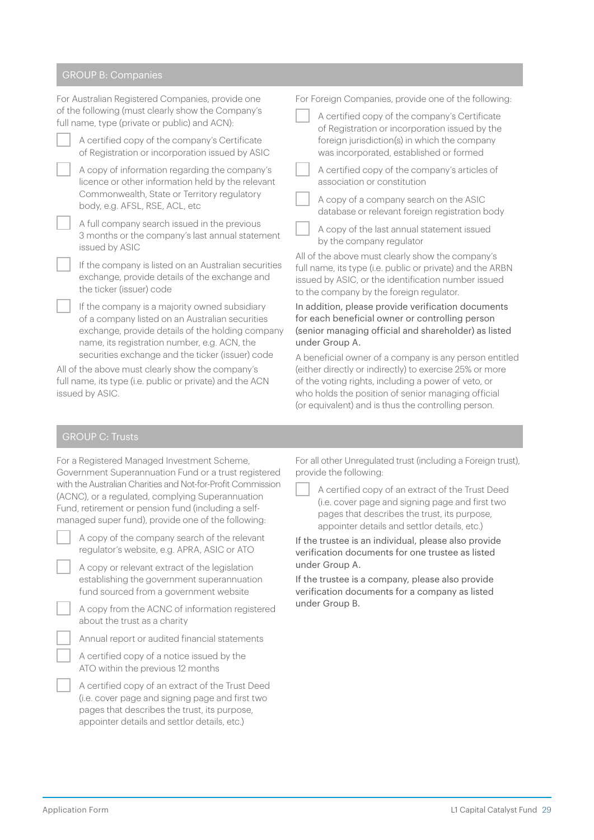#### GROUP B: Companies

| For Australian Registered Companies, provide one                                                                                  | For Foreign Companies, provide one of the following:                                                                                                                                                             |  |  |
|-----------------------------------------------------------------------------------------------------------------------------------|------------------------------------------------------------------------------------------------------------------------------------------------------------------------------------------------------------------|--|--|
| of the following (must clearly show the Company's                                                                                 | A certified copy of the company's Certificate                                                                                                                                                                    |  |  |
| full name, type (private or public) and ACN):                                                                                     | of Registration or incorporation issued by the                                                                                                                                                                   |  |  |
| A certified copy of the company's Certificate                                                                                     | foreign jurisdiction(s) in which the company                                                                                                                                                                     |  |  |
| of Registration or incorporation issued by ASIC                                                                                   | was incorporated, established or formed                                                                                                                                                                          |  |  |
| A copy of information regarding the company's                                                                                     | A certified copy of the company's articles of                                                                                                                                                                    |  |  |
| licence or other information held by the relevant                                                                                 | association or constitution                                                                                                                                                                                      |  |  |
| Commonwealth, State or Territory regulatory                                                                                       | A copy of a company search on the ASIC                                                                                                                                                                           |  |  |
| body, e.g. AFSL, RSE, ACL, etc                                                                                                    | database or relevant foreign registration body                                                                                                                                                                   |  |  |
| A full company search issued in the previous<br>3 months or the company's last annual statement<br>issued by ASIC                 | A copy of the last annual statement issued<br>by the company regulator                                                                                                                                           |  |  |
| If the company is listed on an Australian securities<br>exchange, provide details of the exchange and<br>the ticker (issuer) code | All of the above must clearly show the company's<br>full name, its type (i.e. public or private) and the ARBN<br>issued by ASIC, or the identification number issued<br>to the company by the foreign regulator. |  |  |
| If the company is a majority owned subsidiary                                                                                     | In addition, please provide verification documents                                                                                                                                                               |  |  |
| of a company listed on an Australian securities                                                                                   | for each beneficial owner or controlling person                                                                                                                                                                  |  |  |
| exchange, provide details of the holding company                                                                                  | (senior managing official and shareholder) as listed                                                                                                                                                             |  |  |
| name, its registration number, e.g. ACN, the                                                                                      | under Group A.                                                                                                                                                                                                   |  |  |
| securities exchange and the ticker (issuer) code                                                                                  | A beneficial owner of a company is any person entitled                                                                                                                                                           |  |  |
| All of the above must clearly show the company's                                                                                  | (either directly or indirectly) to exercise 25% or more                                                                                                                                                          |  |  |
| full name, its type (i.e. public or private) and the ACN                                                                          | of the voting rights, including a power of veto, or                                                                                                                                                              |  |  |
| issued by ASIC.                                                                                                                   | who holds the position of senior managing official                                                                                                                                                               |  |  |

## GROUP C: Trusts

| For a Registered Managed Investment Scheme,                 |  |  |  |  |
|-------------------------------------------------------------|--|--|--|--|
| Government Superannuation Fund or a trust registered        |  |  |  |  |
| with the Australian Charities and Not-for-Profit Commission |  |  |  |  |
| (ACNC), or a regulated, complying Superannuation            |  |  |  |  |
| Fund, retirement or pension fund (including a self-         |  |  |  |  |
| managed super fund), provide one of the following:          |  |  |  |  |

| A copy of the company search of the relevant |  |
|----------------------------------------------|--|
| regulator's website, e.g. APRA, ASIC or ATO  |  |

A copy or relevant extract of the legislation establishing the government superannuation fund sourced from a government website

A copy from the ACNC of information registered about the trust as a charity

Annual report or audited financial statements

A certified copy of a notice issued by the ATO within the previous 12 months

A certified copy of an extract of the Trust Deed (i.e. cover page and signing page and first two pages that describes the trust, its purpose, appointer details and settlor details, etc.)

For all other Unregulated trust (including a Foreign trust), provide the following:

(or equivalent) and is thus the controlling person.

A certified copy of an extract of the Trust Deed (i.e. cover page and signing page and first two pages that describes the trust, its purpose, appointer details and settlor details, etc.)

If the trustee is an individual, please also provide verification documents for one trustee as listed under Group A.

If the trustee is a company, please also provide verification documents for a company as listed under Group B.